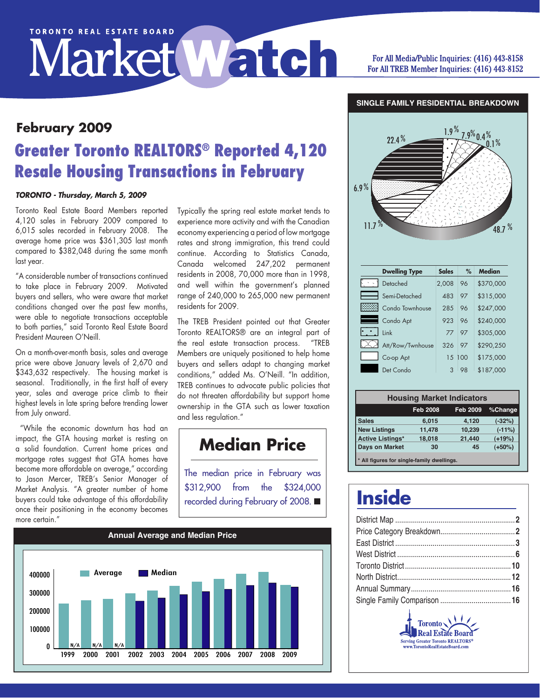# **TORONTO REAL ESTATE BOARD** Market Watch

#### For All Media/Public Inquiries: (416) 443-8158 For All TREB Member Inquiries: (416) 443-8152

#### **SINGLE FAMILY RESIDENTIAL BREAKDOWN**

## **Greater Toronto REALTORS® Reported 4,120 Resale Housing Transactions in February February 2009**

#### *TORONTO - Thursday, March 5, 2009*

Toronto Real Estate Board Members reported 4,120 sales in February 2009 compared to 6,015 sales recorded in February 2008. The average home price was \$361,305 last month compared to \$382,048 during the same month last year.

"A considerable number of transactions continued to take place in February 2009. Motivated buyers and sellers, who were aware that market conditions changed over the past few months, were able to negotiate transactions acceptable to both parties," said Toronto Real Estate Board President Maureen O'Neill.

On a month-over-month basis, sales and average price were above January levels of 2,670 and \$343,632 respectively. The housing market is seasonal. Traditionally, in the first half of every year, sales and average price climb to their highest levels in late spring before trending lower from July onward.

 "While the economic downturn has had an impact, the GTA housing market is resting on a solid foundation. Current home prices and mortgage rates suggest that GTA homes have become more affordable on average," according to Jason Mercer, TREB's Senior Manager of Market Analysis. "A greater number of home buyers could take advantage of this affordability once their positioning in the economy becomes more certain."

Typically the spring real estate market tends to experience more activity and with the Canadian economy experiencing a period of low mortgage rates and strong immigration, this trend could continue. According to Statistics Canada, Canada welcomed 247,202 permanent residents in 2008, 70,000 more than in 1998,<br>and well within the aovernment's planned and well within the government's planned range of 240,000 to 265,000 new permanent residents for 2009.

The TREB President pointed out that Greater Toronto REALTORS® are an integral part of the real estate transaction process. "TREB Members are uniquely positioned to help home buyers and sellers adapt to changing market conditions," added Ms. O'Neill. "In addition, TREB continues to advocate public policies that do not threaten affordability but support home ownership in the GTA such as lower taxation and less regulation."

### **Median Price**

The median price in February was \$312,900 from the \$324,000 recorded during February of 2008.  $\blacksquare$ 





| <b>Dwelling Type</b> | <b>Sales</b> | %   | Median    |
|----------------------|--------------|-----|-----------|
| Detached             | 2,008        | 96  | \$370,000 |
| Semi-Detached        | 483          | 97  | \$315,000 |
| Condo Townhouse      | 285          | 96  | \$247,000 |
| Condo Apt            | 923          | 96  | \$240,000 |
| Link                 | 77           | 97  | \$305,000 |
| Att/Row/Twnhouse     | 326          | 97  | \$290,250 |
| Co-op Apt            | 15           | 100 | \$175,000 |
| Det Condo            |              | 98  | \$187,000 |

| <b>Housing Market Indicators</b>           |                 |                 |          |  |  |  |  |  |  |
|--------------------------------------------|-----------------|-----------------|----------|--|--|--|--|--|--|
|                                            | <b>Feb 2008</b> | <b>Feb 2009</b> | %Change  |  |  |  |  |  |  |
| <b>Sales</b>                               | 6,015           | 4.120           | $(-32%)$ |  |  |  |  |  |  |
| <b>New Listings</b>                        | 11,478          | 10,239          | $(-11%)$ |  |  |  |  |  |  |
| <b>Active Listings*</b>                    | 18,018          | 21,440          | $(+19%)$ |  |  |  |  |  |  |
| <b>Days on Market</b>                      | 30              | 45              | $(+50%)$ |  |  |  |  |  |  |
| * All figures for single-family dwellings. |                 |                 |          |  |  |  |  |  |  |

## **Inside**

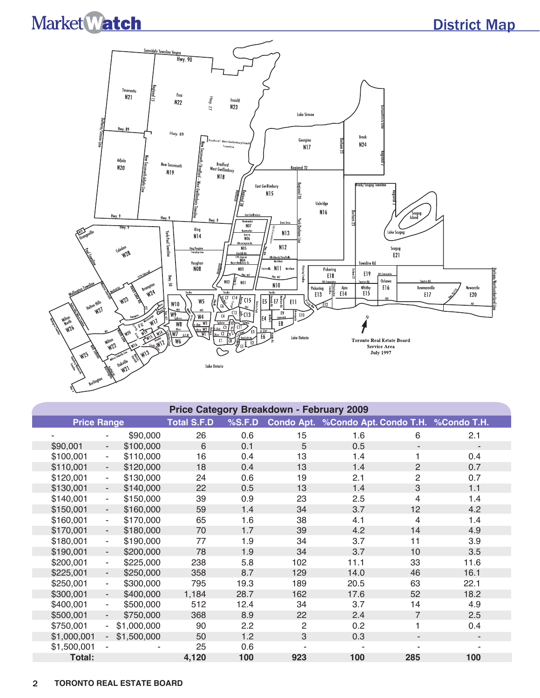### District Map



| <b>Price Category Breakdown - February 2009</b> |                          |             |                    |        |                |                                               |                          |      |  |  |  |
|-------------------------------------------------|--------------------------|-------------|--------------------|--------|----------------|-----------------------------------------------|--------------------------|------|--|--|--|
| <b>Price Range</b>                              |                          |             | <b>Total S.F.D</b> | %S.F.D |                | Condo Apt. %Condo Apt. Condo T.H. %Condo T.H. |                          |      |  |  |  |
|                                                 |                          | \$90,000    | 26                 | 0.6    | 15             | 1.6                                           | 6                        | 2.1  |  |  |  |
| \$90,001                                        | $\overline{\phantom{a}}$ | \$100,000   | 6                  | 0.1    | 5              | 0.5                                           | $\overline{\phantom{a}}$ |      |  |  |  |
| \$100,001                                       | $\blacksquare$           | \$110,000   | 16                 | 0.4    | 13             | 1.4                                           | 1.                       | 0.4  |  |  |  |
| \$110,001                                       | $\overline{\phantom{a}}$ | \$120,000   | 18                 | 0.4    | 13             | 1.4                                           | $\overline{2}$           | 0.7  |  |  |  |
| \$120,001                                       | $\blacksquare$           | \$130,000   | 24                 | 0.6    | 19             | 2.1                                           | $\overline{c}$           | 0.7  |  |  |  |
| \$130,001                                       | $\overline{\phantom{a}}$ | \$140,000   | 22                 | 0.5    | 13             | 1.4                                           | 3                        | 1.1  |  |  |  |
| \$140,001                                       | $\overline{\phantom{a}}$ | \$150,000   | 39                 | 0.9    | 23             | 2.5                                           | 4                        | 1.4  |  |  |  |
| \$150,001                                       | $\overline{\phantom{a}}$ | \$160,000   | 59                 | 1.4    | 34             | 3.7                                           | 12                       | 4.2  |  |  |  |
| \$160,001                                       | $\blacksquare$           | \$170,000   | 65                 | 1.6    | 38             | 4.1                                           | 4                        | 1.4  |  |  |  |
| \$170,001                                       | $\overline{\phantom{a}}$ | \$180,000   | 70                 | 1.7    | 39             | 4.2                                           | 14                       | 4.9  |  |  |  |
| \$180,001                                       | $\overline{\phantom{a}}$ | \$190,000   | 77                 | 1.9    | 34             | 3.7                                           | 11                       | 3.9  |  |  |  |
| \$190,001                                       | $\overline{\phantom{a}}$ | \$200,000   | 78                 | 1.9    | 34             | 3.7                                           | 10                       | 3.5  |  |  |  |
| \$200,001                                       | $\blacksquare$           | \$225,000   | 238                | 5.8    | 102            | 11.1                                          | 33                       | 11.6 |  |  |  |
| \$225,001                                       | $\sim$                   | \$250,000   | 358                | 8.7    | 129            | 14.0                                          | 46                       | 16.1 |  |  |  |
| \$250,001                                       | $\blacksquare$           | \$300,000   | 795                | 19.3   | 189            | 20.5                                          | 63                       | 22.1 |  |  |  |
| \$300,001                                       | $\blacksquare$           | \$400,000   | 1,184              | 28.7   | 162            | 17.6                                          | 52                       | 18.2 |  |  |  |
| \$400,001                                       | $\sim$                   | \$500,000   | 512                | 12.4   | 34             | 3.7                                           | 14                       | 4.9  |  |  |  |
| \$500,001                                       | $\sim$                   | \$750,000   | 368                | 8.9    | 22             | 2.4                                           | $\overline{7}$           | 2.5  |  |  |  |
| \$750,001                                       | $\sim$                   | \$1,000,000 | 90                 | 2.2    | $\overline{c}$ | 0.2                                           | 1                        | 0.4  |  |  |  |
| \$1,000,001                                     | $\sim$                   | \$1,500,000 | 50                 | 1.2    | 3              | 0.3                                           | ٠                        |      |  |  |  |
| \$1,500,001                                     |                          |             | 25                 | 0.6    |                |                                               |                          |      |  |  |  |
| Total:                                          |                          |             | 4,120              | 100    | 923            | 100                                           | 285                      | 100  |  |  |  |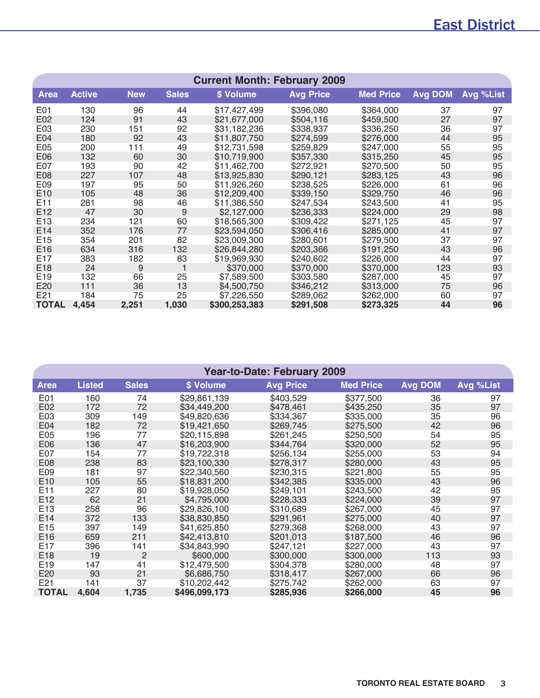### East District

| <b>Current Month: February 2009</b> |               |            |              |               |                  |                  |                |           |  |  |  |
|-------------------------------------|---------------|------------|--------------|---------------|------------------|------------------|----------------|-----------|--|--|--|
| <b>Area</b>                         | <b>Active</b> | <b>New</b> | <b>Sales</b> | \$ Volume     | <b>Avg Price</b> | <b>Med Price</b> | <b>Avg DOM</b> | Avg %List |  |  |  |
| E01                                 | 130           | 96         | 44           | \$17,427,499  | \$396,080        | \$364,000        | 37             | 97        |  |  |  |
| E02                                 | 124           | 91         | 43           | \$21,677,000  | \$504,116        | \$459,500        | 27             | 97        |  |  |  |
| E03                                 | 230           | 151        | 92           | \$31,182,236  | \$338,937        | \$336,250        | 36             | 97        |  |  |  |
| E04                                 | 180           | 92         | 43           | \$11,807,750  | \$274,599        | \$276,000        | 44             | 95        |  |  |  |
| E <sub>05</sub>                     | 200           | 111        | 49           | \$12,731,598  | \$259,829        | \$247,000        | 55             | 95        |  |  |  |
| E06                                 | 132           | 60         | 30           | \$10,719,900  | \$357,330        | \$315,250        | 45             | 95        |  |  |  |
| E07                                 | 193           | 90         | 42           | \$11,462,700  | \$272,921        | \$270,500        | 50             | 95        |  |  |  |
| E08                                 | 227           | 107        | 48           | \$13,925,830  | \$290,121        | \$283,125        | 43             | 96        |  |  |  |
| E09                                 | 197           | 95         | 50           | \$11,926,260  | \$238,525        | \$226,000        | 61             | 96        |  |  |  |
| E10                                 | 105           | 48         | 36           | \$12,209,400  | \$339,150        | \$329,750        | 46             | 96        |  |  |  |
| E <sub>11</sub>                     | 281           | 98         | 46           | \$11,386,550  | \$247,534        | \$243,500        | 41             | 95        |  |  |  |
| E12                                 | 47            | 30         | 9            | \$2,127,000   | \$236,333        | \$224,000        | 29             | 98        |  |  |  |
| E <sub>13</sub>                     | 234           | 121        | 60           | \$18,565,300  | \$309,422        | \$271,125        | 45             | 97        |  |  |  |
| E <sub>14</sub>                     | 352           | 176        | 77           | \$23,594,050  | \$306,416        | \$285,000        | 41             | 97        |  |  |  |
| E15                                 | 354           | 201        | 82           | \$23,009,300  | \$280,601        | \$279,500        | 37             | 97        |  |  |  |
| E16                                 | 634           | 316        | 132          | \$26,844,280  | \$203,366        | \$191,250        | 43             | 96        |  |  |  |
| E17                                 | 383           | 182        | 83           | \$19,969,930  | \$240,602        | \$226,000        | 44             | 97        |  |  |  |
| E18                                 | 24            | 9          | 1            | \$370,000     | \$370,000        | \$370,000        | 123            | 93        |  |  |  |
| E19                                 | 132           | 66         | 25           | \$7,589,500   | \$303,580        | \$287,000        | 45             | 97        |  |  |  |
| E20                                 | 111           | 36         | 13           | \$4,500,750   | \$346,212        | \$313,000        | 75             | 96        |  |  |  |
| E21                                 | 184           | 75         | 25           | \$7,226,550   | \$289,062        | \$262,000        | 60             | 97        |  |  |  |
| <b>TOTAL</b>                        | 4,454         | 2,251      | 1,030        | \$300,253,383 | \$291,508        | \$273,325        | 44             | 96        |  |  |  |

| <b>Year-to-Date: February 2009</b> |               |                |               |                  |                  |                |           |  |  |  |  |
|------------------------------------|---------------|----------------|---------------|------------------|------------------|----------------|-----------|--|--|--|--|
| Area                               | <b>Listed</b> | <b>Sales</b>   | \$ Volume     | <b>Avg Price</b> | <b>Med Price</b> | <b>Avg DOM</b> | Avg %List |  |  |  |  |
| E01                                | 160           | 74             | \$29,861,139  | \$403,529        | \$377,500        | 36             | 97        |  |  |  |  |
| E02                                | 172           | 72             | \$34,449,200  | \$478,461        | \$435,250        | 35             | 97        |  |  |  |  |
| E03                                | 309           | 149            | \$49,820,636  | \$334,367        | \$335,000        | 35             | 96        |  |  |  |  |
| E04                                | 182           | 72             | \$19,421,650  | \$269,745        | \$275,500        | 42             | 96        |  |  |  |  |
| E05                                | 196           | 77             | \$20,115,898  | \$261,245        | \$250,500        | 54             | 95        |  |  |  |  |
| E06                                | 136           | 47             | \$16,203,900  | \$344,764        | \$320,000        | 52             | 95        |  |  |  |  |
| E07                                | 154           | 77             | \$19,722,318  | \$256,134        | \$255,000        | 53             | 94        |  |  |  |  |
| E08                                | 238           | 83             | \$23,100,330  | \$278,317        | \$280,000        | 43             | 95        |  |  |  |  |
| E09                                | 181           | 97             | \$22,340,560  | \$230,315        | \$221,800        | 55             | 95        |  |  |  |  |
| E <sub>10</sub>                    | 105           | 55             | \$18,831,200  | \$342,385        | \$335,000        | 43             | 96        |  |  |  |  |
| E11                                | 227           | 80             | \$19,928,050  | \$249,101        | \$243,500        | 42             | 95        |  |  |  |  |
| E12                                | 62            | 21             | \$4,795,000   | \$228,333        | \$224,000        | 39             | 97        |  |  |  |  |
| E <sub>13</sub>                    | 258           | 96             | \$29,826,100  | \$310,689        | \$267,000        | 45             | 97        |  |  |  |  |
| E14                                | 372           | 133            | \$38,830,850  | \$291,961        | \$275,000        | 40             | 97        |  |  |  |  |
| E15                                | 397           | 149            | \$41,625,850  | \$279,368        | \$268,000        | 43             | 97        |  |  |  |  |
| E16                                | 659           | 211            | \$42,413,810  | \$201,013        | \$187,500        | 46             | 96        |  |  |  |  |
| E <sub>17</sub>                    | 396           | 141            | \$34,843,990  | \$247,121        | \$227,000        | 43             | 97        |  |  |  |  |
| E18                                | 19            | $\overline{2}$ | \$600,000     | \$300,000        | \$300,000        | 113            | 93        |  |  |  |  |
| E19                                | 147           | 41             | \$12,479,500  | \$304,378        | \$280,000        | 48             | 97        |  |  |  |  |
| E20                                | 93            | 21             | \$6,686,750   | \$318,417        | \$267,000        | 66             | 96        |  |  |  |  |
| E21                                | 141           | 37             | \$10,202,442  | \$275,742        | \$262,000        | 63             | 97        |  |  |  |  |
| <b>TOTAL</b>                       | 4,604         | 1,735          | \$496,099,173 | \$285,936        | \$266,000        | 45             | 96        |  |  |  |  |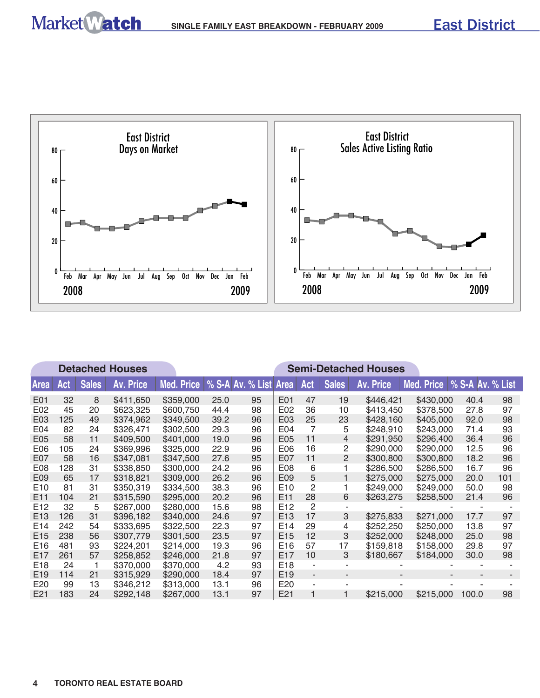

|                 |     |              | <b>Detached Houses</b> |            |      |                       |                 |                          |                | <b>Semi-Detached Houses</b> |                               |       |     |
|-----------------|-----|--------------|------------------------|------------|------|-----------------------|-----------------|--------------------------|----------------|-----------------------------|-------------------------------|-------|-----|
| <b>Area</b>     | Act | <b>Sales</b> | <b>Av. Price</b>       | Med. Price |      | % S-A Av. % List Area |                 | Act                      | <b>Sales</b>   | <b>Av. Price</b>            | Med. Price   % S-A Av. % List |       |     |
| E01             | 32  | 8            | \$411,650              | \$359,000  | 25.0 | 95                    | E01             | 47                       | 19             | \$446,421                   | \$430,000                     | 40.4  | 98  |
| E02             | 45  | 20           | \$623,325              | \$600,750  | 44.4 | 98                    | E02             | 36                       | 10             | \$413,450                   | \$378,500                     | 27.8  | 97  |
| E03             | 125 | 49           | \$374,962              | \$349,500  | 39.2 | 96                    | E03             | 25                       | 23             | \$428,160                   | \$405,000                     | 92.0  | 98  |
| E04             | 82  | 24           | \$326,471              | \$302,500  | 29.3 | 96                    | E04             | 7                        | 5              | \$248,910                   | \$243,000                     | 71.4  | 93  |
| E05             | 58  | 11           | \$409,500              | \$401,000  | 19.0 | 96                    | E05             | 11                       | $\overline{4}$ | \$291,950                   | \$296,400                     | 36.4  | 96  |
| E <sub>06</sub> | 105 | 24           | \$369,996              | \$325,000  | 22.9 | 96                    | E <sub>06</sub> | 16                       | 2              | \$290,000                   | \$290,000                     | 12.5  | 96  |
| E07             | 58  | 16           | \$347,081              | \$347,500  | 27.6 | 95                    | E07             | 11                       | $\overline{2}$ | \$300,800                   | \$300,800                     | 18.2  | 96  |
| E <sub>08</sub> | 128 | 31           | \$338,850              | \$300,000  | 24.2 | 96                    | E08             | 6                        | 1              | \$286,500                   | \$286,500                     | 16.7  | 96  |
| E09             | 65  | 17           | \$318,821              | \$309,000  | 26.2 | 96                    | E09             | 5                        | 1              | \$275,000                   | \$275,000                     | 20.0  | 101 |
| E <sub>10</sub> | 81  | 31           | \$350,319              | \$334,500  | 38.3 | 96                    | E <sub>10</sub> | 2                        | 1              | \$249,000                   | \$249,000                     | 50.0  | 98  |
| E <sub>11</sub> | 104 | 21           | \$315,590              | \$295,000  | 20.2 | 96                    | E <sub>11</sub> | 28                       | 6              | \$263,275                   | \$258,500                     | 21.4  | 96  |
| E <sub>12</sub> | 32  | 5            | \$267,000              | \$280,000  | 15.6 | 98                    | E <sub>12</sub> | $\mathcal{P}$            | ۰              |                             |                               |       |     |
| E <sub>13</sub> | 126 | 31           | \$396,182              | \$340,000  | 24.6 | 97                    | E <sub>13</sub> | 17                       | 3              | \$275,833                   | \$271,000                     | 17.7  | 97  |
| E <sub>14</sub> | 242 | 54           | \$333,695              | \$322,500  | 22.3 | 97                    | E <sub>14</sub> | 29                       | 4              | \$252,250                   | \$250,000                     | 13.8  | 97  |
| E <sub>15</sub> | 238 | 56           | \$307,779              | \$301,500  | 23.5 | 97                    | E <sub>15</sub> | 12                       | 3              | \$252,000                   | \$248,000                     | 25.0  | 98  |
| E16             | 481 | 93           | \$224,201              | \$214,000  | 19.3 | 96                    | E <sub>16</sub> | 57                       | 17             | \$159,818                   | \$158,000                     | 29.8  | 97  |
| E <sub>17</sub> | 261 | 57           | \$258,852              | \$246,000  | 21.8 | 97                    | E <sub>17</sub> | 10                       | 3              | \$180,667                   | \$184,000                     | 30.0  | 98  |
| E18             | 24  | 1            | \$370,000              | \$370,000  | 4.2  | 93                    | E <sub>18</sub> | $\blacksquare$           |                |                             |                               |       |     |
| E <sub>19</sub> | 114 | 21           | \$315,929              | \$290,000  | 18.4 | 97                    | E <sub>19</sub> | $\overline{\phantom{a}}$ | ٠              | ٠                           |                               |       |     |
| E <sub>20</sub> | 99  | 13           | \$346,212              | \$313,000  | 13.1 | 96                    | E <sub>20</sub> | ä,                       |                |                             |                               |       |     |
| E21             | 183 | 24           | \$292,148              | \$267,000  | 13.1 | 97                    | E21             |                          | 1              | \$215,000                   | \$215,000                     | 100.0 | 98  |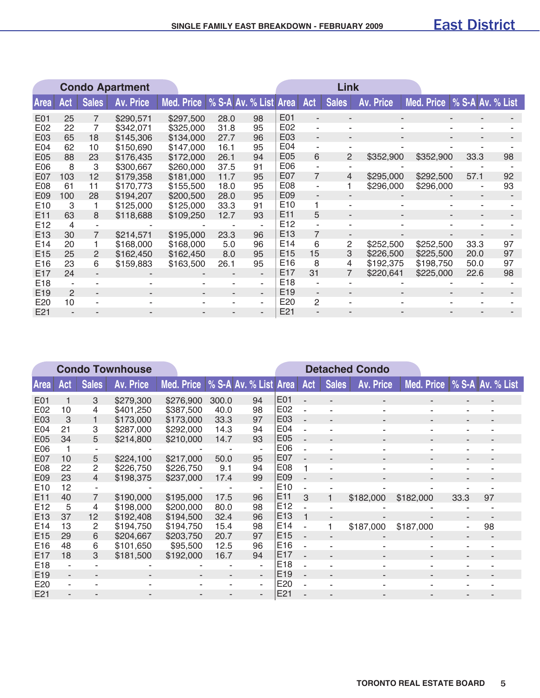|                 | <b>Condo Apartment</b> |                   |                  |            |                       |    |                 |                          | Link                     |           |            |                          |    |
|-----------------|------------------------|-------------------|------------------|------------|-----------------------|----|-----------------|--------------------------|--------------------------|-----------|------------|--------------------------|----|
| <b>Area</b>     | Act                    | <b>Sales</b>      | <b>Av. Price</b> | Med. Price | % S-A Av. % List Area |    |                 | Act                      | <b>Sales</b>             | Av. Price | Med. Price | % S-A Av. % List         |    |
| E01             | 25                     | 7                 | \$290,571        | \$297,500  | 28.0                  | 98 | E01             |                          | ۰                        |           |            |                          |    |
| E02             | 22                     | 7                 | \$342,071        | \$325,000  | 31.8                  | 95 | E02             | ÷                        | ۰                        |           |            |                          |    |
| E03             | 65                     | 18                | \$145,306        | \$134,000  | 27.7                  | 96 | E03             | $\overline{\phantom{a}}$ | ٠                        |           |            |                          |    |
| E04             | 62                     | 10                | \$150,690        | \$147,000  | 16.1                  | 95 | E04             | $\blacksquare$           |                          |           |            |                          |    |
| E05             | 88                     | 23                | \$176,435        | \$172,000  | 26.1                  | 94 | E05             | 6                        | 2                        | \$352,900 | \$352,900  | 33.3                     | 98 |
| E06             | 8                      | 3                 | \$300,667        | \$260,000  | 37.5                  | 91 | E06             | $\sim$                   | ۰                        |           |            |                          |    |
| E07             | 103                    | $12 \overline{ }$ | \$179,358        | \$181,000  | 11.7                  | 95 | E07             | $\overline{7}$           | 4                        | \$295,000 | \$292,500  | 57.1                     | 92 |
| <b>E08</b>      | 61                     | 11                | \$170,773        | \$155,500  | 18.0                  | 95 | E08             | $\blacksquare$           | 1                        | \$296,000 | \$296,000  |                          | 93 |
| E09             | 100                    | 28                | \$194,207        | \$200,500  | 28.0                  | 95 | E09             | $\overline{a}$           | $\overline{\phantom{a}}$ |           |            | $\overline{\phantom{a}}$ |    |
| E <sub>10</sub> | 3                      |                   | \$125,000        | \$125,000  | 33.3                  | 91 | E <sub>10</sub> |                          | ۰                        |           |            |                          |    |
| E <sub>11</sub> | 63                     | 8                 | \$118,688        | \$109,250  | 12.7                  | 93 | E <sub>11</sub> | 5                        | ٠                        |           |            |                          |    |
| E <sub>12</sub> | 4                      |                   |                  |            |                       |    | E <sub>12</sub> |                          | ۰                        |           |            |                          |    |
| E <sub>13</sub> | 30                     | 7                 | \$214,571        | \$195,000  | 23.3                  | 96 | E <sub>13</sub> | 7                        |                          |           |            |                          |    |
| E <sub>14</sub> | 20                     |                   | \$168,000        | \$168,000  | 5.0                   | 96 | E14             | 6                        | 2                        | \$252,500 | \$252,500  | 33.3                     | 97 |
| E <sub>15</sub> | 25                     | 2                 | \$162,450        | \$162,450  | 8.0                   | 95 | E <sub>15</sub> | 15                       | 3                        | \$226,500 | \$225,500  | 20.0                     | 97 |
| E <sub>16</sub> | 23                     | 6                 | \$159,883        | \$163,500  | 26.1                  | 95 | E <sub>16</sub> | 8                        | 4                        | \$192,375 | \$198,750  | 50.0                     | 97 |
| E <sub>17</sub> | 24                     |                   |                  |            |                       | ٠  | E <sub>17</sub> | 31                       | 7                        | \$220,641 | \$225,000  | 22.6                     | 98 |
| E <sub>18</sub> |                        |                   |                  |            |                       | ٠  | E <sub>18</sub> |                          |                          |           |            |                          |    |
| E <sub>19</sub> | 2                      |                   |                  |            |                       | ۰. | E <sub>19</sub> |                          |                          |           |            |                          |    |
| E20             | 10                     |                   |                  |            |                       | ۰  | E20             | $\overline{2}$           |                          |           |            |                          |    |
| E21             |                        |                   |                  |            |                       |    | E21             |                          |                          |           |            |                          |    |

|                 | <b>Condo Townhouse</b> |                |                  |            |                       |                          |                 |                          |                          | <b>Detached Condo</b>    |            |                          |                  |  |
|-----------------|------------------------|----------------|------------------|------------|-----------------------|--------------------------|-----------------|--------------------------|--------------------------|--------------------------|------------|--------------------------|------------------|--|
| <b>Area</b>     | Act                    | <b>Sales</b>   | <b>Av. Price</b> | Med. Price | % S-A Av. % List Area |                          |                 | Act                      | <b>Sales</b>             | <b>Av. Price</b>         | Med. Price |                          | % S-A Av. % List |  |
| E01             |                        | 3              | \$279,300        | \$276,900  | 300.0                 | 94                       | E01             | $\overline{\phantom{a}}$ | $\overline{\phantom{a}}$ | $\overline{\phantom{a}}$ |            | $\overline{\phantom{a}}$ | $\blacksquare$   |  |
| E02             | 10                     | 4              | \$401,250        | \$387,500  | 40.0                  | 98                       | E02             |                          |                          |                          | ۰          | ٠                        | ۰                |  |
| E03             | 3                      |                | \$173,000        | \$173,000  | 33.3                  | 97                       | E03             |                          | $\overline{\phantom{a}}$ | $\overline{\phantom{a}}$ |            | ٠                        | $\blacksquare$   |  |
| E04             | 21                     | 3              | \$287,000        | \$292,000  | 14.3                  | 94                       | E04             |                          |                          |                          |            |                          |                  |  |
| E05             | 34                     | 5              | \$214,800        | \$210,000  | 14.7                  | 93                       | E05             | ÷,                       | $\blacksquare$           | $\overline{\phantom{a}}$ | ٠          | $\overline{\phantom{a}}$ |                  |  |
| E06             |                        |                |                  |            |                       |                          | E06             |                          |                          |                          |            |                          |                  |  |
| E07             | 10                     | 5              | \$224,100        | \$217,000  | 50.0                  | 95                       | E07             | $\blacksquare$           |                          |                          |            | ٠                        |                  |  |
| E08             | 22                     | 2              | \$226,750        | \$226,750  | 9.1                   | 94                       | E08             |                          |                          |                          |            |                          |                  |  |
| E09             | 23                     | 4              | \$198,375        | \$237,000  | 17.4                  | 99                       | E09             | ÷,                       | $\overline{a}$           |                          |            | ۰                        |                  |  |
| E <sub>10</sub> | 12                     |                |                  |            |                       |                          | E <sub>10</sub> |                          |                          |                          |            |                          |                  |  |
| E11             | 40                     | $\overline{7}$ | \$190,000        | \$195,000  | 17.5                  | 96                       | E <sub>11</sub> | 3                        |                          | \$182,000                | \$182,000  | 33.3                     | 97               |  |
| E <sub>12</sub> | 5                      | 4              | \$198,000        | \$200,000  | 80.0                  | 98                       | E <sub>12</sub> |                          |                          |                          |            |                          |                  |  |
| E <sub>13</sub> | 37                     | 12             | \$192,408        | \$194,500  | 32.4                  | 96                       | E <sub>13</sub> |                          | $\blacksquare$           |                          |            |                          |                  |  |
| E <sub>14</sub> | 13                     | 2              | \$194,750        | \$194,750  | 15.4                  | 98                       | E14             |                          |                          | \$187,000                | \$187,000  | $\overline{\phantom{a}}$ | 98               |  |
| E15             | 29                     | 6              | \$204,667        | \$203,750  | 20.7                  | 97                       | E <sub>15</sub> | $\overline{\phantom{a}}$ |                          |                          |            |                          |                  |  |
| E <sub>16</sub> | 48                     | 6              | \$101,650        | \$95,500   | 12.5                  | 96                       | E <sub>16</sub> | ä,                       |                          |                          |            |                          |                  |  |
| E <sub>17</sub> | 18                     | 3              | \$181,500        | \$192,000  | 16.7                  | 94                       | E17             | ÷,                       |                          |                          | ٠          |                          |                  |  |
| E18             |                        |                |                  |            |                       | ÷.                       | E18             |                          |                          |                          |            |                          |                  |  |
| E19             |                        |                |                  |            |                       | $\overline{\phantom{a}}$ | E <sub>19</sub> | ÷                        |                          |                          |            |                          |                  |  |
| E20             |                        |                |                  |            |                       | ٠                        | E20             |                          |                          |                          |            |                          |                  |  |
| E21             |                        |                |                  |            |                       | $\blacksquare$           | E21             |                          |                          |                          |            |                          |                  |  |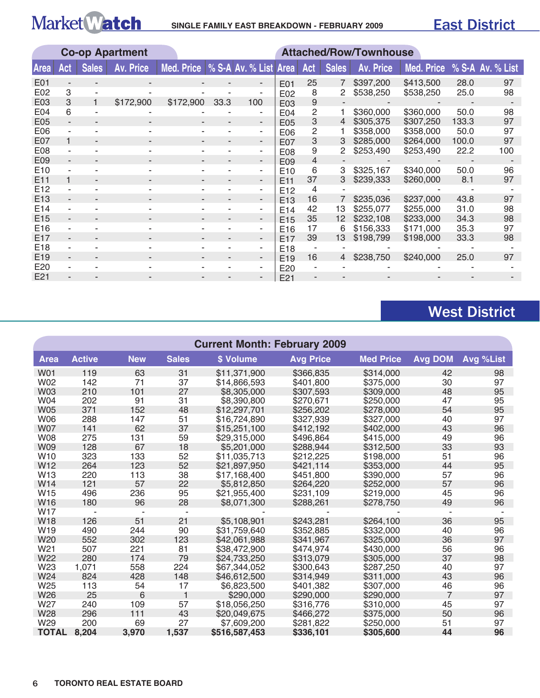## **SINGLE FAMILY EAST BREAKDOWN - FEBRuARY 2009**

|                 | <b>Co-op Apartment</b> |              |           |                                    |      |                          | <b>Attached/Row/Townhouse</b> |     |              |           |                             |       |     |
|-----------------|------------------------|--------------|-----------|------------------------------------|------|--------------------------|-------------------------------|-----|--------------|-----------|-----------------------------|-------|-----|
| <b>Area</b>     | Act                    | <b>Sales</b> | Av. Price | Med. Price   % S-A Av. % List Area |      |                          |                               | Act | <b>Sales</b> | Av. Price | Med. Price % S-A Av. % List |       |     |
| E01             |                        |              |           |                                    |      |                          | E01                           | 25  | 7            | \$397,200 | \$413,500                   | 28.0  | 97  |
| E02             | 3                      |              |           |                                    |      |                          | E02                           | 8   | 2            | \$538,250 | \$538,250                   | 25.0  | 98  |
| E03             | 3                      |              | \$172,900 | \$172,900                          | 33.3 | 100                      | E03                           | 9   |              |           |                             |       |     |
| E <sub>04</sub> | 6                      |              |           |                                    |      |                          | E04                           | 2   |              | \$360,000 | \$360,000                   | 50.0  | 98  |
| E05             |                        |              |           |                                    |      | $\overline{\phantom{a}}$ | E05                           | 3   | 4            | \$305,375 | \$307,250                   | 133.3 | 97  |
| E06             |                        |              |           |                                    |      | ۰.                       | E06                           | 2   |              | \$358,000 | \$358,000                   | 50.0  | 97  |
| E07             | 1                      |              |           |                                    |      |                          | E07                           | 3   | 3            | \$285,000 | \$264,000                   | 100.0 | 97  |
| E08             |                        |              |           |                                    |      | ۰.                       | E08                           | 9   |              | \$253,490 | \$253,490                   | 22.2  | 100 |
| E <sub>09</sub> |                        |              |           |                                    |      | ۰.                       | E <sub>09</sub>               | 4   |              |           |                             |       |     |
| E <sub>10</sub> |                        |              |           |                                    |      | ۰                        | E <sub>10</sub>               | 6   | 3            | \$325,167 | \$340,000                   | 50.0  | 96  |
| E <sub>11</sub> |                        | ۰.           |           |                                    |      | $\overline{\phantom{a}}$ | E <sub>11</sub>               | 37  |              | \$239,333 | \$260,000                   | 8.1   | 97  |
| E <sub>12</sub> |                        |              |           |                                    |      | ۰                        | E <sub>12</sub>               | 4   |              |           |                             |       |     |
| E <sub>13</sub> | ۰.                     |              |           |                                    |      | ۰.                       | E <sub>13</sub>               | 16  |              | \$235,036 | \$237,000                   | 43.8  | 97  |
| E <sub>14</sub> |                        |              |           |                                    |      |                          | E14                           | 42  | 13           | \$255,077 | \$255,000                   | 31.0  | 98  |
| E <sub>15</sub> |                        |              |           |                                    |      | ۰.                       | E <sub>15</sub>               | 35  | 12           | \$232,108 | \$233,000                   | 34.3  | 98  |
| E <sub>16</sub> |                        |              |           |                                    |      |                          | E <sub>16</sub>               | 17  | 6            | \$156,333 | \$171,000                   | 35.3  | 97  |
| E <sub>17</sub> |                        |              |           |                                    |      | -                        | E <sub>17</sub>               | 39  | 13           | \$198,799 | \$198,000                   | 33.3  | 98  |
| E <sub>18</sub> |                        |              |           |                                    |      |                          | E <sub>18</sub>               |     |              |           |                             |       |     |
| E <sub>19</sub> | ۰.                     |              |           |                                    |      | ۰.                       | E <sub>19</sub>               | 16  | 4            | \$238,750 | \$240,000                   | 25.0  | 97  |
| E <sub>20</sub> |                        |              |           |                                    |      |                          | E <sub>20</sub>               |     |              |           |                             |       |     |
| E21             |                        |              |           |                                    |      |                          | F <sub>21</sub>               |     |              |           |                             |       |     |

## West District

|                 | <b>Current Month: February 2009</b> |            |              |               |                  |                  |                |           |  |  |  |  |
|-----------------|-------------------------------------|------------|--------------|---------------|------------------|------------------|----------------|-----------|--|--|--|--|
| <b>Area</b>     | <b>Active</b>                       | <b>New</b> | <b>Sales</b> | \$ Volume     | <b>Avg Price</b> | <b>Med Price</b> | <b>Avg DOM</b> | Avg %List |  |  |  |  |
| <b>W01</b>      | 119                                 | 63         | 31           | \$11,371,900  | \$366,835        | \$314,000        | 42             | 98        |  |  |  |  |
| <b>W02</b>      | 142                                 | 71         | 37           | \$14,866,593  | \$401,800        | \$375,000        | 30             | 97        |  |  |  |  |
| <b>W03</b>      | 210                                 | 101        | 27           | \$8,305,000   | \$307,593        | \$309,000        | 48             | 95        |  |  |  |  |
| W04             | 202                                 | 91         | 31           | \$8,390,800   | \$270,671        | \$250,000        | 47             | 95        |  |  |  |  |
| <b>W05</b>      | 371                                 | 152        | 48           | \$12,297,701  | \$256,202        | \$278,000        | 54             | 95        |  |  |  |  |
| <b>W06</b>      | 288                                 | 147        | 51           | \$16,724,890  | \$327,939        | \$327,000        | 40             | 97        |  |  |  |  |
| <b>W07</b>      | 141                                 | 62         | 37           | \$15,251,100  | \$412,192        | \$402,000        | 43             | 96        |  |  |  |  |
| <b>W08</b>      | 275                                 | 131        | 59           | \$29,315,000  | \$496,864        | \$415,000        | 49             | 96        |  |  |  |  |
| <b>W09</b>      | 128                                 | 67         | 18           | \$5,201,000   | \$288,944        | \$312,500        | 33             | 93        |  |  |  |  |
| W <sub>10</sub> | 323                                 | 133        | 52           | \$11,035,713  | \$212,225        | \$198,000        | 51             | 96        |  |  |  |  |
| W12             | 264                                 | 123        | 52           | \$21,897,950  | \$421,114        | \$353,000        | 44             | 95        |  |  |  |  |
| W13             | 220                                 | 113        | 38           | \$17,168,400  | \$451,800        | \$390,000        | 57             | 96        |  |  |  |  |
| W14             | 121                                 | 57         | 22           | \$5,812,850   | \$264,220        | \$252,000        | 57             | 96        |  |  |  |  |
| W15             | 496                                 | 236        | 95           | \$21,955,400  | \$231,109        | \$219,000        | 45             | 96        |  |  |  |  |
| W16             | 180                                 | 96         | 28           | \$8,071,300   | \$288,261        | \$278,750        | 49             | 96        |  |  |  |  |
| W17             |                                     |            |              |               |                  |                  |                |           |  |  |  |  |
| <b>W18</b>      | 126                                 | 51         | 21           | \$5,108,901   | \$243,281        | \$264,100        | 36             | 95        |  |  |  |  |
| W <sub>19</sub> | 490                                 | 244        | 90           | \$31,759,640  | \$352,885        | \$332,000        | 40             | 96        |  |  |  |  |
| W20             | 552                                 | 302        | 123          | \$42,061,988  | \$341,967        | \$325,000        | 36             | 97        |  |  |  |  |
| W21             | 507                                 | 221        | 81           | \$38,472,900  | \$474,974        | \$430,000        | 56             | 96        |  |  |  |  |
| W22             | 280                                 | 174        | 79           | \$24,733,250  | \$313,079        | \$305,000        | 37             | 98        |  |  |  |  |
| W23             | 1,071                               | 558        | 224          | \$67,344,052  | \$300.643        | \$287,250        | 40             | 97        |  |  |  |  |
| W24             | 824                                 | 428        | 148          | \$46,612,500  | \$314,949        | \$311,000        | 43             | 96        |  |  |  |  |
| W25             | 113                                 | 54         | 17           | \$6,823,500   | \$401,382        | \$307,000        | 46             | 96        |  |  |  |  |
| W26             | 25                                  | 6          | 1            | \$290,000     | \$290,000        | \$290,000        | $\overline{7}$ | 97        |  |  |  |  |
| W27             | 240                                 | 109        | 57           | \$18,056,250  | \$316,776        | \$310,000        | 45             | 97        |  |  |  |  |
| W28             | 296                                 | 111        | 43           | \$20,049,675  | \$466,272        | \$375,000        | 50             | 96        |  |  |  |  |
| W29             | 200                                 | 69         | 27           | \$7,609,200   | \$281,822        | \$250,000        | 51             | 97        |  |  |  |  |
| <b>TOTAL</b>    | 8,204                               | 3,970      | 1,537        | \$516,587,453 | \$336,101        | \$305,600        | 44             | 96        |  |  |  |  |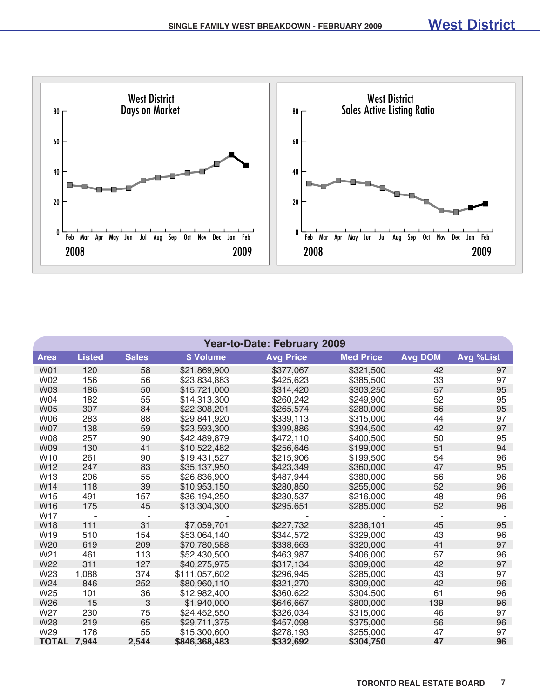

|                    | <b>Year-to-Date: February 2009</b> |              |               |                  |                  |                |           |  |  |  |  |  |
|--------------------|------------------------------------|--------------|---------------|------------------|------------------|----------------|-----------|--|--|--|--|--|
| <b>Area</b>        | <b>Listed</b>                      | <b>Sales</b> | \$ Volume     | <b>Avg Price</b> | <b>Med Price</b> | <b>Avg DOM</b> | Avg %List |  |  |  |  |  |
| <b>W01</b>         | 120                                | 58           | \$21,869,900  | \$377,067        | \$321,500        | 42             | 97        |  |  |  |  |  |
| <b>W02</b>         | 156                                | 56           | \$23,834,883  | \$425,623        | \$385,500        | 33             | 97        |  |  |  |  |  |
| <b>W03</b>         | 186                                | 50           | \$15,721,000  | \$314,420        | \$303,250        | 57             | 95        |  |  |  |  |  |
| <b>W04</b>         | 182                                | 55           | \$14,313,300  | \$260,242        | \$249,900        | 52             | 95        |  |  |  |  |  |
| <b>W05</b>         | 307                                | 84           | \$22,308,201  | \$265,574        | \$280,000        | 56             | 95        |  |  |  |  |  |
| <b>W06</b>         | 283                                | 88           | \$29,841,920  | \$339,113        | \$315,000        | 44             | 97        |  |  |  |  |  |
| <b>W07</b>         | 138                                | 59           | \$23,593,300  | \$399,886        | \$394,500        | 42             | 97        |  |  |  |  |  |
| <b>W08</b>         | 257                                | 90           | \$42,489,879  | \$472,110        | \$400,500        | 50             | 95        |  |  |  |  |  |
| <b>W09</b>         | 130                                | 41           | \$10,522,482  | \$256,646        | \$199,000        | 51             | 94        |  |  |  |  |  |
| W <sub>10</sub>    | 261                                | 90           | \$19,431,527  | \$215,906        | \$199,500        | 54             | 96        |  |  |  |  |  |
| W <sub>12</sub>    | 247                                | 83           | \$35,137,950  | \$423,349        | \$360,000        | 47             | 95        |  |  |  |  |  |
| W <sub>13</sub>    | 206                                | 55           | \$26,836,900  | \$487,944        | \$380,000        | 56             | 96        |  |  |  |  |  |
| W14                | 118                                | 39           | \$10,953,150  | \$280,850        | \$255,000        | 52             | 96        |  |  |  |  |  |
| W <sub>15</sub>    | 491                                | 157          | \$36,194,250  | \$230,537        | \$216,000        | 48             | 96        |  |  |  |  |  |
| W16                | 175                                | 45           | \$13,304,300  | \$295,651        | \$285,000        | 52             | 96        |  |  |  |  |  |
| <b>W17</b>         | $\overline{\phantom{a}}$           |              |               |                  |                  |                |           |  |  |  |  |  |
| <b>W18</b>         | 111                                | 31           | \$7,059,701   | \$227,732        | \$236,101        | 45             | 95        |  |  |  |  |  |
| W19                | 510                                | 154          | \$53,064,140  | \$344,572        | \$329,000        | 43             | 96        |  |  |  |  |  |
| W20                | 619                                | 209          | \$70,780,588  | \$338,663        | \$320,000        | 41             | 97        |  |  |  |  |  |
| W <sub>21</sub>    | 461                                | 113          | \$52,430,500  | \$463,987        | \$406,000        | 57             | 96        |  |  |  |  |  |
| W22                | 311                                | 127          | \$40,275,975  | \$317,134        | \$309,000        | 42             | 97        |  |  |  |  |  |
| W23                | 1,088                              | 374          | \$111,057,602 | \$296,945        | \$285,000        | 43             | 97        |  |  |  |  |  |
| W24                | 846                                | 252          | \$80,960,110  | \$321,270        | \$309,000        | 42             | 96        |  |  |  |  |  |
| W25                | 101                                | 36           | \$12,982,400  | \$360,622        | \$304,500        | 61             | 96        |  |  |  |  |  |
| W <sub>26</sub>    | 15                                 | 3            | \$1,940,000   | \$646,667        | \$800,000        | 139            | 96        |  |  |  |  |  |
| W27                | 230                                | 75           | \$24,452,550  | \$326,034        | \$315,000        | 46             | 97        |  |  |  |  |  |
| W28                | 219                                | 65           | \$29,711,375  | \$457,098        | \$375,000        | 56             | 96        |  |  |  |  |  |
| W <sub>29</sub>    | 176                                | 55           | \$15,300,600  | \$278,193        | \$255,000        | 47             | 97        |  |  |  |  |  |
| <b>TOTAL 7,944</b> |                                    | 2,544        | \$846,368,483 | \$332,692        | \$304,750        | 47             | 96        |  |  |  |  |  |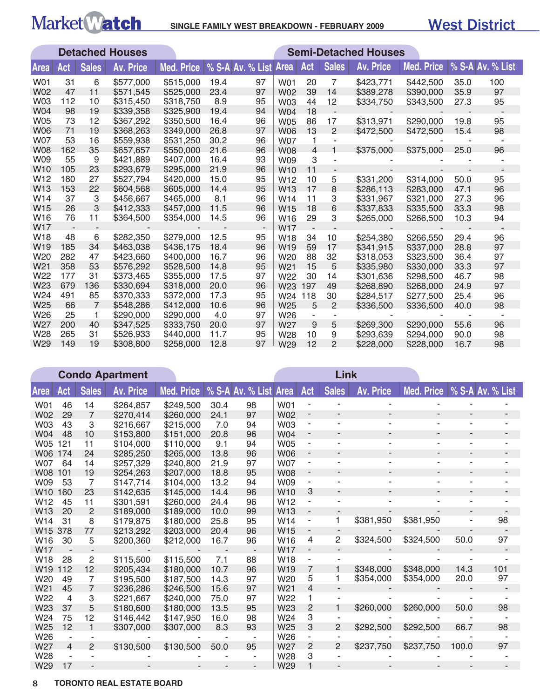## Market Match SINGLE FAMILY WEST BREAKDOWN - FEBRUARY 2009

|                 |     |                | <b>Detached Houses</b> |            |                  |    |                 |                |                | <b>Semi-Detached Houses</b> |                   |      |                  |
|-----------------|-----|----------------|------------------------|------------|------------------|----|-----------------|----------------|----------------|-----------------------------|-------------------|------|------------------|
| Area            | Act | <b>Sales</b>   | <b>Av. Price</b>       | Med. Price | % S-A Av. % List |    | <b>Area</b>     | Act            | <b>Sales</b>   | <b>Av. Price</b>            | <b>Med. Price</b> |      | % S-A Av. % List |
| W01             | 31  | 6              | \$577,000              | \$515,000  | 19.4             | 97 | <b>W01</b>      | 20             | 7              | \$423,771                   | \$442,500         | 35.0 | 100              |
| <b>W02</b>      | 47  | 11             | \$571,545              | \$525,000  | 23.4             | 97 | <b>W02</b>      | 39             | 14             | \$389,278                   | \$390,000         | 35.9 | 97               |
| <b>W03</b>      | 112 | 10             | \$315,450              | \$318,750  | 8.9              | 95 | <b>W03</b>      | 44             | 12             | \$334,750                   | \$343,500         | 27.3 | 95               |
| W04             | 98  | 19             | \$339,358              | \$325,900  | 19.4             | 94 | <b>W04</b>      | 18             |                |                             |                   |      |                  |
| <b>W05</b>      | 73  | 12             | \$367,292              | \$350,500  | 16.4             | 96 | <b>W05</b>      | 86             | 17             | \$313,971                   | \$290,000         | 19.8 | 95               |
| <b>W06</b>      | 71  | 19             | \$368,263              | \$349,000  | 26.8             | 97 | <b>W06</b>      | 13             | 2              | \$472,500                   | \$472,500         | 15.4 | 98               |
| <b>W07</b>      | 53  | 16             | \$559,938              | \$531,250  | 30.2             | 96 | <b>W07</b>      | 1              | ×,             |                             |                   |      |                  |
| <b>W08</b>      | 162 | 35             | \$657,657              | \$550,000  | 21.6             | 96 | <b>W08</b>      | $\overline{4}$ | 1              | \$375,000                   | \$375,000         | 25.0 | 96               |
| W09             | 55  | 9              | \$421,889              | \$407,000  | 16.4             | 93 | W09             | 3              |                |                             |                   |      |                  |
| W <sub>10</sub> | 105 | 23             | \$293,679              | \$295,000  | 21.9             | 96 | W <sub>10</sub> | 11             | ٠              |                             |                   |      |                  |
| W12             | 180 | 27             | \$527,794              | \$420,000  | 15.0             | 95 | W <sub>12</sub> | 10             | 5              | \$331,200                   | \$314,000         | 50.0 | 95               |
| W <sub>13</sub> | 153 | 22             | \$604,568              | \$605,000  | 14.4             | 95 | W <sub>13</sub> | 17             | 8              | \$286,113                   | \$283,000         | 47.1 | 96               |
| W <sub>14</sub> | 37  | 3              | \$456,667              | \$465,000  | 8.1              | 96 | W <sub>14</sub> | 11             | 3              | \$331,967                   | \$321,000         | 27.3 | 96               |
| W <sub>15</sub> | 26  | 3              | \$412,333              | \$457,000  | 11.5             | 96 | W <sub>15</sub> | 18             | 6              | \$337,833                   | \$335,500         | 33.3 | 98               |
| W <sub>16</sub> | 76  | 11             | \$364,500              | \$354,000  | 14.5             | 96 | W16             | 29             | 3              | \$265,000                   | \$266,500         | 10.3 | 94               |
| W17             |     |                |                        |            |                  |    | W <sub>17</sub> |                |                |                             |                   |      |                  |
| W18             | 48  | 6              | \$282,350              | \$279,000  | 12.5             | 95 | W <sub>18</sub> | 34             | 10             | \$254,380                   | \$266,550         | 29.4 | 96               |
| W <sub>19</sub> | 185 | 34             | \$463,038              | \$436,175  | 18.4             | 96 | W <sub>19</sub> | 59             | 17             | \$341,915                   | \$337,000         | 28.8 | 97               |
| W20             | 282 | 47             | \$423,660              | \$400,000  | 16.7             | 96 | W <sub>20</sub> | 88             | 32             | \$318,053                   | \$323,500         | 36.4 | 97               |
| W <sub>21</sub> | 358 | 53             | \$576,292              | \$528,500  | 14.8             | 95 | W <sub>21</sub> | 15             | 5              | \$335,980                   | \$330,000         | 33.3 | 97               |
| W22             | 177 | 31             | \$373,465              | \$355,000  | 17.5             | 97 | W <sub>22</sub> | 30             | 14             | \$301,636                   | \$298,500         | 46.7 | 98               |
| W <sub>23</sub> | 679 | 136            | \$330,694              | \$318,000  | 20.0             | 96 | W <sub>23</sub> | 197            | 49             | \$268,890                   | \$268,000         | 24.9 | 97               |
| W24             | 491 | 85             | \$370,333              | \$372,000  | 17.3             | 95 | W24 118         |                | 30             | \$284,517                   | \$277,500         | 25.4 | 96               |
| W25             | 66  | $\overline{7}$ | \$548,286              | \$412,000  | 10.6             | 96 | W <sub>25</sub> | 5              | $\overline{2}$ | \$336,500                   | \$336,500         | 40.0 | 98               |
| W <sub>26</sub> | 25  | 1              | \$290,000              | \$290,000  | 4.0              | 97 | W <sub>26</sub> |                | ٠              |                             |                   |      |                  |
| W27             | 200 | 40             | \$347,525              | \$333,750  | 20.0             | 97 | W27             | 9              | 5              | \$269,300                   | \$290,000         | 55.6 | 96               |
| W28             | 265 | 31             | \$526,933              | \$440,000  | 11.7             | 95 | W28             | 10             | 9              | \$293,639                   | \$294,000         | 90.0 | 98               |
| W29             | 149 | 19             | \$308,800              | \$258,000  | 12.8             | 97 | W29             | 12             | $\overline{2}$ | \$228,000                   | \$228,000         | 16.7 | 98               |

|                 | <b>Condo Apartment</b>   |                |                  |            |      |                  |                 |                          | Link           |                          |                               |       |     |
|-----------------|--------------------------|----------------|------------------|------------|------|------------------|-----------------|--------------------------|----------------|--------------------------|-------------------------------|-------|-----|
| <b>Area</b>     | Act                      | <b>Sales</b>   | <b>Av. Price</b> | Med. Price |      | % S-A Av. % List | <b>Area</b>     | Act                      | <b>Sales</b>   | Av. Price                | Med. Price   % S-A Av. % List |       |     |
| <b>W01</b>      | 46                       | 14             | \$264,857        | \$249,500  | 30.4 | 98               | <b>W01</b>      |                          |                |                          |                               |       |     |
| <b>W02</b>      | 29                       | $\overline{7}$ | \$270,414        | \$260,000  | 24.1 | 97               | <b>W02</b>      | $\overline{\phantom{a}}$ |                |                          |                               |       |     |
| W03             | 43                       | 3              | \$216,667        | \$215,000  | 7.0  | 94               | <b>W03</b>      | ۰                        |                |                          |                               |       |     |
| <b>W04</b>      | 48                       | 10             | \$153,800        | \$151,000  | 20.8 | 96               | W04             | ٠                        |                |                          |                               |       |     |
| <b>W05</b>      | 121                      | 11             | \$104,000        | \$110,000  | 9.1  | 94               | <b>W05</b>      | ۰                        |                | ۰                        | ٠                             |       |     |
| <b>W06</b>      | 174                      | 24             | \$285,250        | \$265,000  | 13.8 | 96               | <b>W06</b>      | ٠                        |                |                          |                               |       |     |
| <b>W07</b>      | 64                       | 14             | \$257,329        | \$240,800  | 21.9 | 97               | <b>W07</b>      | $\overline{\phantom{a}}$ |                | ۰                        |                               |       |     |
| <b>W08</b>      | 101                      | 19             | \$254,263        | \$207,000  | 18.8 | 95               | <b>W08</b>      | $\overline{\phantom{a}}$ |                | $\overline{\phantom{a}}$ |                               |       |     |
| W09             | 53                       | 7              | \$147,714        | \$104,000  | 13.2 | 94               | W09             |                          |                |                          |                               |       |     |
| W <sub>10</sub> | 160                      | 23             | \$142,635        | \$145,000  | 14.4 | 96               | W <sub>10</sub> | 3                        | ٠              | ۰                        | ٠                             | ٠     |     |
| W <sub>12</sub> | 45                       | 11             | \$301,591        | \$260,000  | 24.4 | 96               | W <sub>12</sub> | ٠                        |                |                          |                               |       |     |
| W13             | 20                       | 2              | \$189,000        | \$189,000  | 10.0 | 99               | W <sub>13</sub> | $\overline{\phantom{a}}$ |                |                          |                               |       |     |
| W14             | 31                       | 8              | \$179,875        | \$180,000  | 25.8 | 95               | W14             | $\overline{\phantom{a}}$ | 1              | \$381,950                | \$381,950                     |       | 98  |
| W <sub>15</sub> | 378                      | 77             | \$213,292        | \$203,000  | 20.4 | 96               | W <sub>15</sub> |                          |                |                          |                               |       |     |
| W <sub>16</sub> | 30                       | 5              | \$200,360        | \$212,000  | 16.7 | 96               | W <sub>16</sub> | 4                        | 2              | \$324,500                | \$324,500                     | 50.0  | 97  |
| W <sub>17</sub> | $\sim$                   |                |                  |            |      |                  | W <sub>17</sub> | ٠                        |                |                          |                               |       |     |
| W <sub>18</sub> | 28                       | $\overline{c}$ | \$115,500        | \$115,500  | 7.1  | 88               | W <sub>18</sub> | ٠                        |                |                          |                               |       |     |
| W <sub>19</sub> | 112                      | 12             | \$205,434        | \$180,000  | 10.7 | 96               | W <sub>19</sub> | 7                        |                | \$348,000                | \$348,000                     | 14.3  | 101 |
| W20             | 49                       | 7              | \$195,500        | \$187,500  | 14.3 | 97               | W <sub>20</sub> | 5                        |                | \$354,000                | \$354,000                     | 20.0  | 97  |
| W <sub>21</sub> | 45                       | $\overline{7}$ | \$236,286        | \$246,500  | 15.6 | 97               | W <sub>21</sub> | 4                        |                |                          |                               |       |     |
| W22             | $\overline{4}$           | 3              | \$221,667        | \$240,000  | 75.0 | 97               | W22             | 1                        |                |                          |                               |       |     |
| W23             | 37                       | 5              | \$180,600        | \$180,000  | 13.5 | 95               | W23             | 2                        |                | \$260,000                | \$260,000                     | 50.0  | 98  |
| W24             | 75                       | 12             | \$146,442        | \$147,950  | 16.0 | 98               | W24             | 3                        | $\sim$         |                          |                               |       |     |
| W25             | 12                       | 1              | \$307,000        | \$307,000  | 8.3  | 93               | W25             | 3                        | $\overline{2}$ | \$292,500                | \$292,500                     | 66.7  | 98  |
| W26             | $\overline{\phantom{m}}$ |                |                  |            |      |                  | W26             |                          |                |                          |                               |       |     |
| W27             | 4                        | $\overline{2}$ | \$130,500        | \$130,500  | 50.0 | 95               | W27             | 2                        | $\mathcal{P}$  | \$237,750                | \$237,750                     | 100.0 | 97  |
| W28             |                          |                |                  |            |      |                  | W28             | 3                        |                |                          |                               |       |     |
| W29             | 17                       |                |                  |            |      |                  | W29             |                          |                |                          |                               |       |     |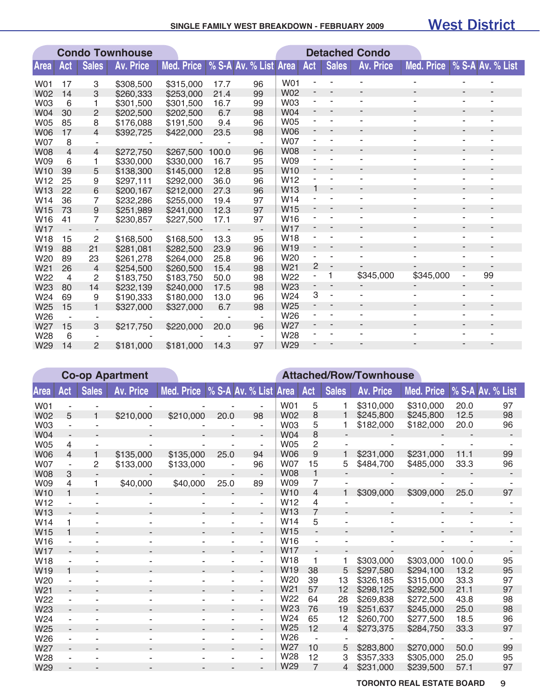#### **SINGLE FAMILY WEST BREAKDOWN - FEBRuARY 2009**

### West District

|                 | <b>Condo Townhouse</b> |                |           |                   |       |                       |                 |                              |                          | <b>Detached Condo</b>        |                          |                          |                          |  |
|-----------------|------------------------|----------------|-----------|-------------------|-------|-----------------------|-----------------|------------------------------|--------------------------|------------------------------|--------------------------|--------------------------|--------------------------|--|
| <b>Area</b>     | Act                    | <b>Sales</b>   | Av. Price | <b>Med. Price</b> |       | % S-A Av. % List Area |                 | Act                          | <b>Sales</b>             | <b>Av. Price</b>             | <b>Med. Price</b>        |                          | % S-A Av. % List         |  |
| W01             | 17                     | 3              | \$308,500 | \$315,000         | 17.7  | 96                    | <b>W01</b>      |                              |                          |                              |                          |                          |                          |  |
| <b>W02</b>      | 14                     | 3              | \$260,333 | \$253,000         | 21.4  | 99                    | <b>W02</b>      |                              |                          |                              |                          |                          |                          |  |
| <b>W03</b>      | 6                      |                | \$301,500 | \$301,500         | 16.7  | 99                    | <b>W03</b>      |                              |                          |                              |                          |                          |                          |  |
| W04             | 30                     | $\overline{2}$ | \$202,500 | \$202,500         | 6.7   | 98                    | <b>W04</b>      |                              |                          |                              | $\overline{\phantom{a}}$ | $\overline{\phantom{a}}$ | ٠                        |  |
| <b>W05</b>      | 85                     | 8              | \$176,088 | \$191,500         | 9.4   | 96                    | <b>W05</b>      |                              |                          |                              | ۰                        | $\blacksquare$           | ۰                        |  |
| <b>W06</b>      | 17                     | $\overline{4}$ | \$392,725 | \$422,000         | 23.5  | 98                    | <b>W06</b>      |                              |                          |                              | ٠                        | ٠                        |                          |  |
| <b>W07</b>      | 8                      |                |           |                   |       |                       | <b>W07</b>      |                              |                          |                              | ۰                        |                          |                          |  |
| <b>W08</b>      | 4                      | $\overline{4}$ | \$272,750 | \$267,500         | 100.0 | 96                    | <b>W08</b>      |                              |                          |                              |                          | $\overline{\phantom{a}}$ | $\overline{\phantom{a}}$ |  |
| W09             | 6                      | 1              | \$330,000 | \$330,000         | 16.7  | 95                    | <b>W09</b>      |                              |                          |                              | ۰                        | ÷                        |                          |  |
| W <sub>10</sub> | 39                     | 5              | \$138,300 | \$145,000         | 12.8  | 95                    | W <sub>10</sub> | $\qquad \qquad \blacksquare$ |                          |                              |                          |                          | -                        |  |
| W12             | 25                     | 9              | \$297,111 | \$292,000         | 36.0  | 96                    | W12             |                              |                          |                              |                          | $\blacksquare$           |                          |  |
| W13             | 22                     | 6              | \$200,167 | \$212,000         | 27.3  | 96                    | W13             | 1                            | $\overline{a}$           |                              | ۰                        |                          |                          |  |
| W14             | 36                     | 7              | \$232,286 | \$255,000         | 19.4  | 97                    | W <sub>14</sub> |                              |                          | ٠                            | ۰                        | $\blacksquare$           | ٠                        |  |
| W15             | 73                     | 9              | \$251,989 | \$241,000         | 12.3  | 97                    | W15             |                              |                          | $\qquad \qquad \blacksquare$ | $\overline{\phantom{a}}$ | $\overline{\phantom{a}}$ | ٠                        |  |
| W16             | 41                     | 7              | \$230,857 | \$227,500         | 17.1  | 97                    | W <sub>16</sub> |                              |                          |                              | ۰                        |                          |                          |  |
| <b>W17</b>      |                        |                |           |                   |       |                       | <b>W17</b>      |                              |                          |                              | ٠                        | $\overline{\phantom{a}}$ | -                        |  |
| W18             | 15                     | $\overline{c}$ | \$168,500 | \$168,500         | 13.3  | 95                    | W <sub>18</sub> |                              |                          |                              | ۰                        | ٠                        |                          |  |
| W19             | 88                     | 21             | \$281,081 | \$282,500         | 23.9  | 96                    | W19             |                              |                          |                              |                          |                          | ۰                        |  |
| W20             | 89                     | 23             | \$261,278 | \$264,000         | 25.8  | 96                    | W20             |                              |                          |                              |                          |                          |                          |  |
| W21             | 26                     | $\overline{4}$ | \$254,500 | \$260,500         | 15.4  | 98                    | W <sub>21</sub> | 2                            | $\overline{\phantom{a}}$ |                              |                          | $\blacksquare$           |                          |  |
| W22             | $\overline{4}$         | 2              | \$183,750 | \$183,750         | 50.0  | 98                    | W22             | ÷,                           | 1                        | \$345,000                    | \$345,000                | ÷,                       | 99                       |  |
| W23             | 80                     | 14             | \$232,139 | \$240,000         | 17.5  | 98                    | W23             |                              |                          |                              |                          | ٠                        | ٠                        |  |
| W24             | 69                     | 9              | \$190,333 | \$180,000         | 13.0  | 96                    | W24             | 3                            |                          |                              |                          |                          |                          |  |
| W25             | 15                     |                | \$327,000 | \$327,000         | 6.7   | 98                    | W <sub>25</sub> | $\qquad \qquad \blacksquare$ | $\overline{\phantom{a}}$ |                              | ٠                        | $\overline{\phantom{a}}$ | ٠                        |  |
| W26             |                        |                |           |                   |       | ٠                     | W26             |                              |                          |                              | ۰                        |                          |                          |  |
| W27             | 15                     | 3              | \$217,750 | \$220,000         | 20.0  | 96                    | W27             |                              |                          |                              | ۰                        |                          | ۰                        |  |
| W28             | 6                      |                |           |                   |       |                       | W28             |                              |                          |                              |                          |                          |                          |  |
| W29             | 14                     | $\mathcal{P}$  | \$181,000 | \$181,000         | 14.3  | 97                    | W29             |                              |                          |                              |                          |                          |                          |  |

|                 |              |              | <b>Co-op Apartment</b> |                   |                           |                          |                 |                |                | <b>Attached/Row/Townhouse</b> |                   |       |                  |
|-----------------|--------------|--------------|------------------------|-------------------|---------------------------|--------------------------|-----------------|----------------|----------------|-------------------------------|-------------------|-------|------------------|
| Area            | Act          | <b>Sales</b> | <b>Av. Price</b>       | <b>Med. Price</b> | % S-A Av. % List Area Act |                          |                 |                | <b>Sales</b>   | <b>Av. Price</b>              | <b>Med. Price</b> |       | % S-A Av. % List |
| W01             |              |              |                        |                   |                           |                          | <b>W01</b>      | 5              |                | \$310,000                     | \$310,000         | 20.0  | 97               |
| <b>W02</b>      | 5            |              | \$210,000              | \$210,000         | 20.0                      | 98                       | <b>W02</b>      | 8              |                | \$245,800                     | \$245,800         | 12.5  | 98               |
| <b>W03</b>      |              |              |                        |                   |                           | ۰                        | <b>W03</b>      | 5              |                | \$182,000                     | \$182,000         | 20.0  | 96               |
| <b>W04</b>      |              |              |                        |                   |                           |                          | <b>W04</b>      | 8              |                |                               |                   |       |                  |
| <b>W05</b>      | 4            |              |                        |                   |                           | ۰                        | <b>W05</b>      | $\overline{c}$ |                |                               |                   |       |                  |
| <b>W06</b>      | 4            |              | \$135,000              | \$135,000         | 25.0                      | 94                       | <b>W06</b>      | 9              |                | \$231,000                     | \$231,000         | 11.1  | 99               |
| <b>W07</b>      |              | 2            | \$133,000              | \$133,000         | $\overline{\phantom{a}}$  | 96                       | <b>W07</b>      | 15             | 5              | \$484,700                     | \$485,000         | 33.3  | 96               |
| <b>W08</b>      | 3            |              |                        |                   | $\overline{\phantom{a}}$  |                          | <b>W08</b>      | 1              |                |                               |                   |       |                  |
| <b>W09</b>      | 4            | 1            | \$40,000               | \$40,000          | 25.0                      | 89                       | W09             | 7              |                |                               |                   |       |                  |
| W <sub>10</sub> |              |              |                        |                   |                           |                          | W <sub>10</sub> | 4              |                | \$309,000                     | \$309,000         | 25.0  | 97               |
| W12             |              |              |                        |                   |                           | ۰                        | W <sub>12</sub> | 4              |                |                               |                   |       |                  |
| W13             |              |              |                        |                   |                           | Ξ.                       | <b>W13</b>      | $\overline{7}$ |                |                               |                   |       |                  |
| W <sub>14</sub> |              |              |                        |                   |                           | ٠                        | W14             | 5              |                |                               |                   |       |                  |
| W15             | $\mathbf{1}$ |              |                        |                   | $\overline{\phantom{a}}$  | $\overline{\phantom{a}}$ | W <sub>15</sub> |                |                |                               |                   |       |                  |
| W16             |              |              |                        |                   |                           | $\sim$                   | W <sub>16</sub> | ä,             |                |                               |                   |       |                  |
| <b>W17</b>      |              |              |                        |                   |                           | ۰.                       | <b>W17</b>      |                |                |                               |                   |       |                  |
| <b>W18</b>      |              |              |                        |                   |                           | ٠                        | W <sub>18</sub> | 1              |                | \$303,000                     | \$303,000         | 100.0 | 95               |
| W <sub>19</sub> | 1            |              |                        |                   |                           | ÷.                       | W19             | 38             | 5              | \$297,580                     | \$294,100         | 13.2  | 95               |
| W <sub>20</sub> |              |              |                        |                   |                           | ۰                        | W20             | 39             | 13             | \$326,185                     | \$315,000         | 33.3  | 97               |
| W <sub>21</sub> |              |              |                        |                   | ٠                         | ٠                        | W <sub>21</sub> | 57             | 12             | \$298,125                     | \$292,500         | 21.1  | 97               |
| W <sub>22</sub> |              |              |                        |                   |                           | ٠                        | W22             | 64             | 28             | \$269,838                     | \$272,500         | 43.8  | 98               |
| W23             |              |              |                        |                   |                           | $\overline{\phantom{a}}$ | W <sub>23</sub> | 76             | 19             | \$251,637                     | \$245,000         | 25.0  | 98               |
| W24             |              |              |                        |                   | ٠                         | ÷                        | W <sub>24</sub> | 65             | 12             | \$260,700                     | \$277,500         | 18.5  | 96               |
| W <sub>25</sub> |              |              |                        |                   |                           | $\overline{\phantom{0}}$ | W <sub>25</sub> | 12             | $\overline{4}$ | \$273,375                     | \$284,750         | 33.3  | 97               |
| W26             |              |              |                        |                   |                           | ۰                        | W <sub>26</sub> |                |                |                               |                   |       |                  |
| W <sub>27</sub> |              |              |                        |                   |                           | ٠                        | W27             | 10             | 5              | \$283,800                     | \$270,000         | 50.0  | 99               |
| W28             |              |              |                        |                   |                           | ٠                        | W28             | 12             | 3              | \$357,333                     | \$305,000         | 25.0  | 95               |
| W29             |              |              |                        |                   |                           |                          | W29             | $\overline{7}$ | $\overline{4}$ | \$231,000                     | \$239,500         | 57.1  | 97               |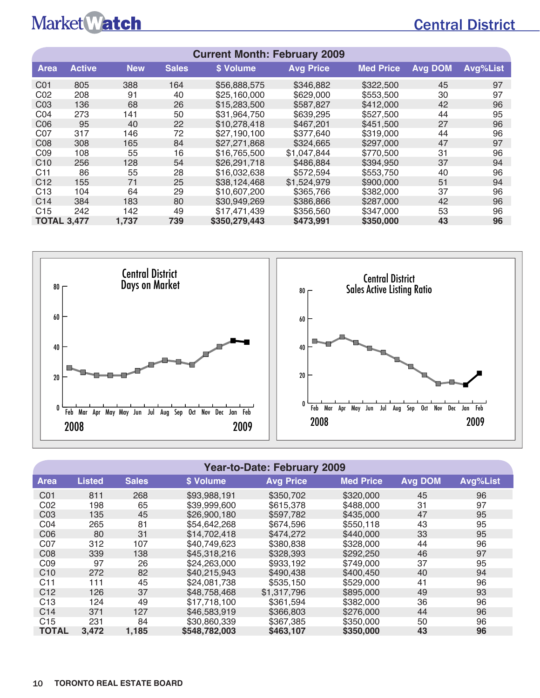## Central District

| <b>Current Month: February 2009</b> |                                                                                           |            |              |              |                  |                  |                |          |  |  |  |  |  |
|-------------------------------------|-------------------------------------------------------------------------------------------|------------|--------------|--------------|------------------|------------------|----------------|----------|--|--|--|--|--|
| <b>Area</b>                         | <b>Active</b>                                                                             | <b>New</b> | <b>Sales</b> | \$ Volume    | <b>Avg Price</b> | <b>Med Price</b> | <b>Avg DOM</b> | Avg%List |  |  |  |  |  |
| C01                                 | 805                                                                                       | 388        | 164          | \$56,888,575 | \$346,882        | \$322,500        | 45             | 97       |  |  |  |  |  |
| CO <sub>2</sub>                     | 208                                                                                       | 91         | 40           | \$25,160,000 | \$629,000        | \$553,500        | 30             | 97       |  |  |  |  |  |
| CO <sub>3</sub>                     | 136                                                                                       | 68         | 26           | \$15,283,500 | \$587,827        | \$412,000        | 42             | 96       |  |  |  |  |  |
| CO <sub>4</sub>                     | 273                                                                                       | 141        | 50           | \$31,964,750 | \$639,295        | \$527,500        | 44             | 95       |  |  |  |  |  |
| C <sub>06</sub>                     | 95                                                                                        | 40         | 22           | \$10,278,418 | \$467,201        | \$451,500        | 27             | 96       |  |  |  |  |  |
| C <sub>07</sub>                     | 317                                                                                       | 146        | 72           | \$27,190,100 | \$377,640        | \$319,000        | 44             | 96       |  |  |  |  |  |
| C <sub>08</sub>                     | 308                                                                                       | 165        | 84           | \$27,271,868 | \$324,665        | \$297,000        | 47             | 97       |  |  |  |  |  |
| CO <sub>9</sub>                     | 108                                                                                       | 55         | 16           | \$16,765,500 | \$1,047,844      | \$770,500        | 31             | 96       |  |  |  |  |  |
| C <sub>10</sub>                     | 256                                                                                       | 128        | 54           | \$26,291,718 | \$486,884        | \$394,950        | 37             | 94       |  |  |  |  |  |
| C <sub>11</sub>                     | 86                                                                                        | 55         | 28           | \$16,032,638 | \$572,594        | \$553,750        | 40             | 96       |  |  |  |  |  |
| C <sub>12</sub>                     | 155                                                                                       | 71         | 25           | \$38,124,468 | \$1,524,979      | \$900,000        | 51             | 94       |  |  |  |  |  |
| C <sub>13</sub>                     | 104                                                                                       | 64         | 29           | \$10,607,200 | \$365,766        | \$382,000        | 37             | 96       |  |  |  |  |  |
| C <sub>14</sub>                     | 384                                                                                       | 183        | 80           | \$30,949,269 | \$386,866        | \$287,000        | 42             | 96       |  |  |  |  |  |
| C <sub>15</sub>                     | 242                                                                                       | 142        | 49           | \$17,471,439 | \$356,560        | \$347,000        | 53             | 96       |  |  |  |  |  |
|                                     | \$350,279,443<br><b>TOTAL 3,477</b><br>96<br>1,737<br>739<br>\$473,991<br>\$350,000<br>43 |            |              |              |                  |                  |                |          |  |  |  |  |  |



#### **Year-to-Date: February 2009**

| <b>Area</b>     | <b>Listed</b> | <b>Sales</b> | \$ Volume     | <b>Avg Price</b> | <b>Med Price</b> | <b>Avg DOM</b> | Avg%List |
|-----------------|---------------|--------------|---------------|------------------|------------------|----------------|----------|
| C <sub>01</sub> | 811           | 268          | \$93,988,191  | \$350,702        | \$320,000        | 45             | 96       |
| C02             | 198           | 65           | \$39,999,600  | \$615,378        | \$488,000        | 31             | 97       |
| CO <sub>3</sub> | 135           | 45           | \$26,900,180  | \$597.782        | \$435,000        | 47             | 95       |
| CO <sub>4</sub> | 265           | 81           | \$54,642,268  | \$674,596        | \$550,118        | 43             | 95       |
| C <sub>06</sub> | 80            | 31           | \$14,702,418  | \$474,272        | \$440,000        | 33             | 95       |
| C07             | 312           | 107          | \$40,749,623  | \$380.838        | \$328,000        | 44             | 96       |
| C <sub>08</sub> | 339           | 138          | \$45,318,216  | \$328,393        | \$292,250        | 46             | 97       |
| CO <sub>9</sub> | 97            | 26           | \$24,263,000  | \$933.192        | \$749,000        | 37             | 95       |
| C10             | 272           | 82           | \$40,215,943  | \$490.438        | \$400.450        | 40             | 94       |
| C <sub>11</sub> | 111           | 45           | \$24,081,738  | \$535.150        | \$529,000        | 41             | 96       |
| C <sub>12</sub> | 126           | 37           | \$48,758,468  | \$1,317,796      | \$895,000        | 49             | 93       |
| C <sub>13</sub> | 124           | 49           | \$17.718.100  | \$361.594        | \$382,000        | 36             | 96       |
| C <sub>14</sub> | 371           | 127          | \$46,583,919  | \$366,803        | \$276,000        | 44             | 96       |
| C <sub>15</sub> | 231           | 84           | \$30,860,339  | \$367.385        | \$350,000        | 50             | 96       |
| <b>TOTAL</b>    | 3,472         | 1,185        | \$548,782,003 | \$463,107        | \$350,000        | 43             | 96       |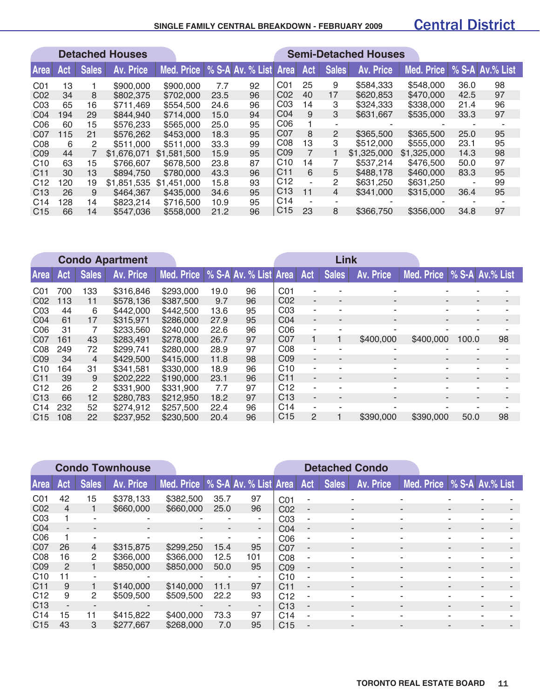#### **SINGLE FAMILY CENTRAL BREAKDOWN - FEBRuARY 2009**

### Central District

|                 |     |              | <b>Detached Houses</b> |             |      |                       |                 |                |                | <b>Semi-Detached Houses</b> |             |      |                 |
|-----------------|-----|--------------|------------------------|-------------|------|-----------------------|-----------------|----------------|----------------|-----------------------------|-------------|------|-----------------|
| <b>Area</b>     | Act | <b>Sales</b> | Av. Price              | Med. Price  |      | % S-A Av. % List Area |                 | Act            | <b>Sales</b>   | Av. Price                   | Med. Price  |      | % S-A Av.% List |
| CO <sub>1</sub> | 13  |              | \$900,000              | \$900,000   | 7.7  | 92                    | C <sub>01</sub> | 25             | 9              | \$584,333                   | \$548,000   | 36.0 | 98              |
| C <sub>02</sub> | 34  | 8            | \$802,375              | \$702,000   | 23.5 | 96                    | C <sub>02</sub> | 40             | 17             | \$620,853                   | \$470,000   | 42.5 | 97              |
| CO <sub>3</sub> | 65  | 16           | \$711,469              | \$554,500   | 24.6 | 96                    | CO <sub>3</sub> | 14             | 3              | \$324,333                   | \$338,000   | 21.4 | 96              |
| CO <sub>4</sub> | 194 | 29           | \$844.940              | \$714,000   | 15.0 | 94                    | CO <sub>4</sub> | 9              | 3              | \$631,667                   | \$535,000   | 33.3 | 97              |
| C <sub>06</sub> | 60  | 15           | \$576,233              | \$565,000   | 25.0 | 95                    | C <sub>06</sub> |                |                |                             |             |      |                 |
| C <sub>07</sub> | 115 | 21           | \$576,262              | \$453,000   | 18.3 | 95                    | C07             | 8              | $\overline{2}$ | \$365,500                   | \$365,500   | 25.0 | 95              |
| CO8             | 6   | 2            | \$511,000              | \$511,000   | 33.3 | 99                    | CO8             | 13             | 3              | \$512,000                   | \$555,000   | 23.1 | 95              |
| C <sub>09</sub> | 44  |              | \$1,676,071            | \$1,581,500 | 15.9 | 95                    | CO <sub>9</sub> | $\overline{7}$ |                | \$1,325,000                 | \$1,325,000 | 14.3 | 98              |
| C <sub>10</sub> | 63  | 15           | \$766,607              | \$678,500   | 23.8 | 87                    | C10             | 14             |                | \$537,214                   | \$476,500   | 50.0 | 97              |
| C <sub>11</sub> | 30  | 13           | \$894.750              | \$780,000   | 43.3 | 96                    | C <sub>11</sub> | 6              | 5              | \$488.178                   | \$460,000   | 83.3 | 95              |
| C12             | 120 | 19           | \$1,851,535            | \$1,451,000 | 15.8 | 93                    | C <sub>12</sub> |                | 2              | \$631,250                   | \$631,250   |      | 99              |
| C <sub>13</sub> | 26  | 9            | \$464,367              | \$435,000   | 34.6 | 95                    | C <sub>13</sub> | 11             | 4              | \$341,000                   | \$315,000   | 36.4 | 95              |
| C <sub>14</sub> | 128 | 14           | \$823,214              | \$716,500   | 10.9 | 95                    | C <sub>14</sub> |                |                |                             |             |      |                 |
| C <sub>15</sub> | 66  | 14           | \$547,036              | \$558,000   | 21.2 | 96                    | C <sub>15</sub> | 23             | 8              | \$366,750                   | \$356,000   | 34.8 | 97              |

|                  | <b>Condo Apartment</b> |                |                  |            |      |                       |                 |     | <b>Link</b>              |                          |                                |                          |    |
|------------------|------------------------|----------------|------------------|------------|------|-----------------------|-----------------|-----|--------------------------|--------------------------|--------------------------------|--------------------------|----|
| Area             | Act                    | <b>Sales</b>   | <b>Av. Price</b> | Med. Price |      | % S-A Av. % List Area |                 | Act | <b>Sales</b>             | <b>Av. Price</b>         | Med. Price   % S-A   Av.% List |                          |    |
| CO <sub>1</sub>  | 700                    | 133            | \$316,846        | \$293,000  | 19.0 | 96                    | CO <sub>1</sub> | ٠   |                          |                          |                                |                          |    |
| CO <sub>2</sub>  | 113                    | 11             | \$578.136        | \$387,500  | 9.7  | 96                    | CO <sub>2</sub> | ٠   | ٠                        | $\blacksquare$           | $\blacksquare$                 | $\sim$                   |    |
| CO <sub>3</sub>  | 44                     | 6              | \$442,000        | \$442,500  | 13.6 | 95                    | CO <sub>3</sub> | ۰   | ۰                        | $\overline{\phantom{a}}$ |                                | ٠                        |    |
| CO <sub>4</sub>  | 61                     | 17             | \$315,971        | \$286,000  | 27.9 | 95                    | CO <sub>4</sub> | ۰.  | ٠                        | ۰                        |                                | ٠                        |    |
| C <sub>0</sub> 6 | 31                     |                | \$233,560        | \$240,000  | 22.6 | 96                    | CO6             | ۰   |                          |                          |                                |                          |    |
| C07              | 161                    | 43             | \$283,491        | \$278,000  | 26.7 | 97                    | C <sub>07</sub> |     |                          | \$400,000                | \$400,000                      | 100.0                    | 98 |
| C <sub>08</sub>  | 249                    | 72             | \$299,741        | \$280,000  | 28.9 | 97                    | CO8             | ٠   | ٠                        |                          |                                | $\overline{\phantom{a}}$ |    |
| C <sub>09</sub>  | 34                     | $\overline{4}$ | \$429,500        | \$415,000  | 11.8 | 98                    | CO <sub>9</sub> | ۰.  | $\overline{\phantom{a}}$ | $\blacksquare$           | $\overline{\phantom{a}}$       | $\overline{\phantom{a}}$ |    |
| C <sub>10</sub>  | 164                    | 31             | \$341.581        | \$330,000  | 18.9 | 96                    | C10             | ٠   | ٠                        | $\blacksquare$           |                                | ٠                        |    |
| C <sub>11</sub>  | 39                     | 9              | \$202,222        | \$190,000  | 23.1 | 96                    | C <sub>11</sub> | ٠   | ٠                        | $\blacksquare$           | ٠                              | ۰.                       |    |
| C12              | 26                     | 2              | \$331,900        | \$331,900  | 7.7  | 97                    | C <sub>12</sub> | ٠   | ٠                        | $\blacksquare$           | ۰                              | ۰.                       |    |
| C <sub>13</sub>  | 66                     | 12             | \$280,783        | \$212,950  | 18.2 | 97                    | C <sub>13</sub> | ٠   | ٠                        | $\overline{\phantom{0}}$ |                                | ٠                        |    |
| C <sub>14</sub>  | 232                    | 52             | \$274.912        | \$257,500  | 22.4 | 96                    | C <sub>14</sub> | ٠   | ۰                        |                          |                                |                          |    |
| C <sub>15</sub>  | 108                    | 22             | \$237,952        | \$230,500  | 20.4 | 96                    | C <sub>15</sub> | 2   |                          | \$390,000                | \$390,000                      | 50.0                     | 98 |

|                  |               |                | <b>Condo Townhouse</b> |                                          |                |        |                 | <b>Detached Condo</b>    |              |                  |                              |   |   |  |
|------------------|---------------|----------------|------------------------|------------------------------------------|----------------|--------|-----------------|--------------------------|--------------|------------------|------------------------------|---|---|--|
| <b>Area</b>      | Act           | <b>Sales</b>   | Av. Price              | Med. Price   % S-A Av. % List Area   Act |                |        |                 |                          | <b>Sales</b> | <b>Av. Price</b> | Med. Price   % S-A Av.% List |   |   |  |
| CO <sub>1</sub>  | 42            | 15             | \$378,133              | \$382,500                                | 35.7           | 97     | CO <sub>1</sub> |                          |              |                  |                              |   |   |  |
| C <sub>02</sub>  | 4             |                | \$660,000              | \$660,000                                | 25.0           | 96     | C <sub>02</sub> | $\overline{\phantom{a}}$ |              | ۰                | $\blacksquare$               |   | ۰ |  |
| CO <sub>3</sub>  |               |                |                        |                                          | ٠              | ٠.     | CO <sub>3</sub> | $\blacksquare$           |              |                  |                              |   |   |  |
| CO <sub>4</sub>  |               |                |                        |                                          | $\blacksquare$ | $\sim$ | CO <sub>4</sub> | $\overline{\phantom{a}}$ |              |                  |                              |   |   |  |
| C <sub>0</sub> 6 |               | ۰              |                        |                                          |                | ٠      | C <sub>06</sub> | ٠                        |              |                  |                              |   |   |  |
| C <sub>07</sub>  | 26            | $\overline{4}$ | \$315,875              | \$299,250                                | 15.4           | 95     | C <sub>07</sub> | $\blacksquare$           |              | ٠                |                              |   | - |  |
| C <sub>08</sub>  | 16            | 2              | \$366,000              | \$366,000                                | 12.5           | 101    | CO8             | ٠                        |              |                  |                              |   |   |  |
| C <sub>09</sub>  | $\mathcal{P}$ |                | \$850,000              | \$850,000                                | 50.0           | 95     | CO <sub>9</sub> | $\sim$                   |              | ۰                | $\overline{\phantom{a}}$     | - | - |  |
| C <sub>10</sub>  | 11            |                |                        |                                          | ٠              | ٠      | C <sub>10</sub> | ٠                        |              |                  |                              | ۰ |   |  |
| C <sub>11</sub>  | 9             |                | \$140,000              | \$140,000                                | 11.1           | 97     | C <sub>11</sub> | ۰                        |              |                  |                              |   |   |  |
| C <sub>12</sub>  | 9             | 2              | \$509,500              | \$509,500                                | 22.2           | 93     | C <sub>12</sub> | ٠                        |              |                  |                              |   |   |  |
| C <sub>13</sub>  |               | ۰              |                        | $\overline{\phantom{a}}$                 | $\blacksquare$ | ٠      | C <sub>13</sub> | $\overline{\phantom{a}}$ |              | ۰                | $\overline{\phantom{a}}$     |   |   |  |
| C <sub>14</sub>  | 15            | 11             | \$415,822              | \$400,000                                | 73.3           | 97     | C <sub>14</sub> | $\sim$                   |              | ۰                |                              | - |   |  |
| C <sub>15</sub>  | 43            | 3              | \$277,667              | \$268,000                                | 7.0            | 95     | C <sub>15</sub> | ۰                        |              |                  |                              |   |   |  |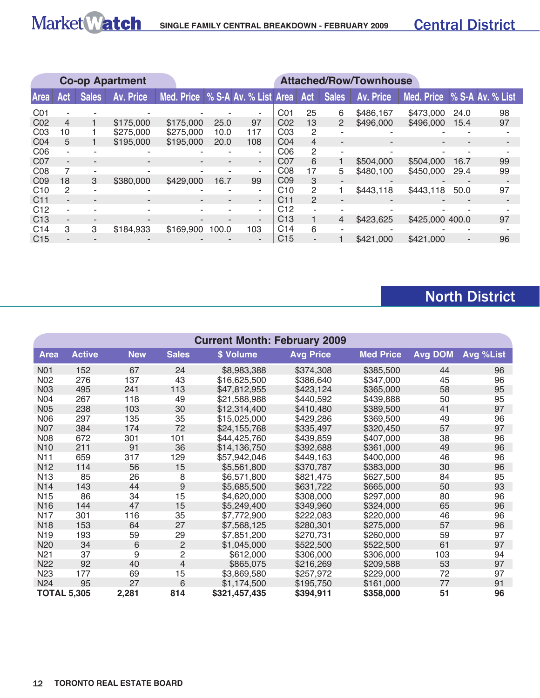

|                 |     |              | <b>Co-op Apartment</b> |                                    |       |        |                 |     |                          | <b>Attached/Row/Townhouse</b> |                             |      |    |
|-----------------|-----|--------------|------------------------|------------------------------------|-------|--------|-----------------|-----|--------------------------|-------------------------------|-----------------------------|------|----|
| Area            | Act | <b>Sales</b> | Av. Price              | Med. Price   % S-A Av. % List Area |       |        |                 | Act | <b>Sales</b>             | Av. Price                     | Med. Price % S-A Av. % List |      |    |
| CO <sub>1</sub> |     |              |                        |                                    |       |        | C01             | 25  | 6                        | \$486,167                     | \$473,000                   | 24.0 | 98 |
| C <sub>02</sub> | 4   |              | \$175,000              | \$175,000                          | 25.0  | 97     | CO <sub>2</sub> | 13  | $\overline{2}$           | \$496,000                     | \$496,000                   | 15.4 | 97 |
| CO <sub>3</sub> | 10  |              | \$275,000              | \$275,000                          | 10.0  | 117    | CO <sub>3</sub> | 2   |                          |                               |                             |      |    |
| CO <sub>4</sub> | 5   |              | \$195,000              | \$195,000                          | 20.0  | 108    | CO <sub>4</sub> | 4   |                          |                               |                             |      |    |
| C <sub>06</sub> |     |              |                        |                                    |       | ۰      | C <sub>06</sub> | 2   | ٠                        |                               |                             |      |    |
| C <sub>07</sub> |     |              |                        |                                    |       | $\sim$ | C <sub>07</sub> | 6   |                          | \$504,000                     | \$504,000                   | 16.7 | 99 |
| CO8             |     |              |                        |                                    |       | ٠      | CO8             | 17  | 5                        | \$480,100                     | \$450,000                   | 29.4 | 99 |
| C <sub>09</sub> | 18  | 3            | \$380,000              | \$429,000                          | 16.7  | 99     | CO <sub>9</sub> | 3   |                          |                               |                             |      |    |
| C10             | 2   |              |                        |                                    |       | ٠      | C <sub>10</sub> | 2   |                          | \$443,118                     | \$443,118                   | 50.0 | 97 |
| C <sub>11</sub> |     |              |                        |                                    | ۰     | ۰.     | C <sub>11</sub> | 2   | $\overline{\phantom{a}}$ |                               |                             |      |    |
| C <sub>12</sub> |     |              |                        |                                    |       |        | C <sub>12</sub> |     |                          |                               |                             |      |    |
| C <sub>13</sub> |     |              |                        |                                    |       |        | C <sub>13</sub> |     | 4                        | \$423,625                     | \$425,000 400.0             |      | 97 |
| C <sub>14</sub> | 3   | 3            | \$184,933              | \$169,900                          | 100.0 | 103    | C <sub>14</sub> | 6   | ٠                        |                               |                             |      |    |
| C <sub>15</sub> |     |              |                        |                                    |       |        | C <sub>15</sub> |     |                          | \$421,000                     | \$421,000                   |      | 96 |

## North District

|                    | <b>Current Month: February 2009</b> |            |                  |               |                  |                  |                |           |  |  |  |  |  |
|--------------------|-------------------------------------|------------|------------------|---------------|------------------|------------------|----------------|-----------|--|--|--|--|--|
| <b>Area</b>        | <b>Active</b>                       | <b>New</b> | <b>Sales</b>     | \$ Volume     | <b>Avg Price</b> | <b>Med Price</b> | <b>Avg DOM</b> | Avg %List |  |  |  |  |  |
| N01                | 152                                 | 67         | 24               | \$8,983,388   | \$374,308        | \$385,500        | 44             | 96        |  |  |  |  |  |
| N <sub>02</sub>    | 276                                 | 137        | 43               | \$16,625,500  | \$386,640        | \$347,000        | 45             | 96        |  |  |  |  |  |
| <b>N03</b>         | 495                                 | 241        | 113              | \$47,812,955  | \$423,124        | \$365,000        | 58             | 95        |  |  |  |  |  |
| N04                | 267                                 | 118        | 49               | \$21,588,988  | \$440,592        | \$439,888        | 50             | 95        |  |  |  |  |  |
| <b>N05</b>         | 238                                 | 103        | 30               | \$12,314,400  | \$410,480        | \$389,500        | 41             | 97        |  |  |  |  |  |
| <b>N06</b>         | 297                                 | 135        | 35               | \$15,025,000  | \$429,286        | \$369,500        | 49             | 96        |  |  |  |  |  |
| <b>N07</b>         | 384                                 | 174        | 72               | \$24,155,768  | \$335,497        | \$320,450        | 57             | 97        |  |  |  |  |  |
| <b>N08</b>         | 672                                 | 301        | 101              | \$44,425,760  | \$439,859        | \$407,000        | 38             | 96        |  |  |  |  |  |
| <b>N10</b>         | 211                                 | 91         | 36               | \$14,136,750  | \$392,688        | \$361,000        | 49             | 96        |  |  |  |  |  |
| N11                | 659                                 | 317        | 129              | \$57,942,046  | \$449,163        | \$400,000        | 46             | 96        |  |  |  |  |  |
| N <sub>12</sub>    | 114                                 | 56         | 15               | \$5,561,800   | \$370,787        | \$383,000        | 30             | 96        |  |  |  |  |  |
| N <sub>13</sub>    | 85                                  | 26         | 8                | \$6,571,800   | \$821,475        | \$627,500        | 84             | 95        |  |  |  |  |  |
| N <sub>14</sub>    | 143                                 | 44         | $\boldsymbol{9}$ | \$5,685,500   | \$631,722        | \$665,000        | 50             | 93        |  |  |  |  |  |
| N <sub>15</sub>    | 86                                  | 34         | 15               | \$4,620,000   | \$308,000        | \$297,000        | 80             | 96        |  |  |  |  |  |
| N <sub>16</sub>    | 144                                 | 47         | 15               | \$5,249,400   | \$349,960        | \$324,000        | 65             | 96        |  |  |  |  |  |
| N17                | 301                                 | 116        | 35               | \$7,772,900   | \$222,083        | \$220,000        | 46             | 96        |  |  |  |  |  |
| <b>N18</b>         | 153                                 | 64         | 27               | \$7,568,125   | \$280,301        | \$275,000        | 57             | 96        |  |  |  |  |  |
| N <sub>19</sub>    | 193                                 | 59         | 29               | \$7,851,200   | \$270,731        | \$260,000        | 59             | 97        |  |  |  |  |  |
| N20                | 34                                  | 6          | $\overline{2}$   | \$1,045,000   | \$522,500        | \$522,500        | 61             | 97        |  |  |  |  |  |
| N <sub>21</sub>    | 37                                  | 9          | $\overline{c}$   | \$612,000     | \$306,000        | \$306,000        | 103            | 94        |  |  |  |  |  |
| <b>N22</b>         | 92                                  | 40         | $\overline{4}$   | \$865,075     | \$216,269        | \$209,588        | 53             | 97        |  |  |  |  |  |
| N <sub>23</sub>    | 177                                 | 69         | 15               | \$3,869,580   | \$257,972        | \$229,000        | 72             | 97        |  |  |  |  |  |
| N <sub>24</sub>    | 95                                  | 27         | 6                | \$1,174,500   | \$195,750        | \$161,000        | 77             | 91        |  |  |  |  |  |
| <b>TOTAL 5,305</b> |                                     | 2,281      | 814              | \$321,457,435 | \$394,911        | \$358,000        | 51             | 96        |  |  |  |  |  |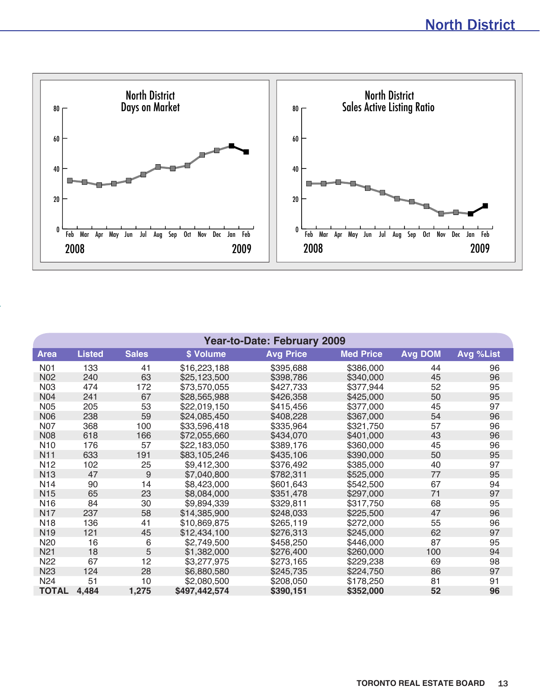

| <b>Year-to-Date: February 2009</b> |               |              |               |                  |                  |                |           |  |  |  |  |  |  |
|------------------------------------|---------------|--------------|---------------|------------------|------------------|----------------|-----------|--|--|--|--|--|--|
| Area                               | <b>Listed</b> | <b>Sales</b> | \$ Volume     | <b>Avg Price</b> | <b>Med Price</b> | <b>Avg DOM</b> | Avg %List |  |  |  |  |  |  |
| N01                                | 133           | 41           | \$16,223,188  | \$395,688        | \$386,000        | 44             | 96        |  |  |  |  |  |  |
| N <sub>02</sub>                    | 240           | 63           | \$25,123,500  | \$398,786        | \$340,000        | 45             | 96        |  |  |  |  |  |  |
| <b>N03</b>                         | 474           | 172          | \$73,570,055  | \$427,733        | \$377,944        | 52             | 95        |  |  |  |  |  |  |
| <b>N04</b>                         | 241           | 67           | \$28,565,988  | \$426,358        | \$425,000        | 50             | 95        |  |  |  |  |  |  |
| <b>N05</b>                         | 205           | 53           | \$22,019,150  | \$415,456        | \$377,000        | 45             | 97        |  |  |  |  |  |  |
| <b>N06</b>                         | 238           | 59           | \$24,085,450  | \$408,228        | \$367,000        | 54             | 96        |  |  |  |  |  |  |
| <b>N07</b>                         | 368           | 100          | \$33,596,418  | \$335,964        | \$321,750        | 57             | 96        |  |  |  |  |  |  |
| <b>N08</b>                         | 618           | 166          | \$72,055,660  | \$434,070        | \$401,000        | 43             | 96        |  |  |  |  |  |  |
| N <sub>10</sub>                    | 176           | 57           | \$22,183,050  | \$389,176        | \$360,000        | 45             | 96        |  |  |  |  |  |  |
| <b>N11</b>                         | 633           | 191          | \$83,105,246  | \$435,106        | \$390,000        | 50             | 95        |  |  |  |  |  |  |
| N <sub>12</sub>                    | 102           | 25           | \$9,412,300   | \$376,492        | \$385,000        | 40             | 97        |  |  |  |  |  |  |
| <b>N13</b>                         | 47            | 9            | \$7,040,800   | \$782,311        | \$525,000        | 77             | 95        |  |  |  |  |  |  |
| N <sub>14</sub>                    | 90            | 14           | \$8,423,000   | \$601,643        | \$542,500        | 67             | 94        |  |  |  |  |  |  |
| N <sub>15</sub>                    | 65            | 23           | \$8,084,000   | \$351,478        | \$297,000        | 71             | 97        |  |  |  |  |  |  |
| N <sub>16</sub>                    | 84            | 30           | \$9,894,339   | \$329,811        | \$317,750        | 68             | 95        |  |  |  |  |  |  |
| <b>N17</b>                         | 237           | 58           | \$14,385,900  | \$248,033        | \$225,500        | 47             | 96        |  |  |  |  |  |  |
| N <sub>18</sub>                    | 136           | 41           | \$10,869,875  | \$265,119        | \$272,000        | 55             | 96        |  |  |  |  |  |  |
| N <sub>19</sub>                    | 121           | 45           | \$12,434,100  | \$276,313        | \$245,000        | 62             | 97        |  |  |  |  |  |  |
| N <sub>20</sub>                    | 16            | 6            | \$2,749,500   | \$458,250        | \$446,000        | 87             | 95        |  |  |  |  |  |  |
| N <sub>21</sub>                    | 18            | 5            | \$1,382,000   | \$276,400        | \$260,000        | 100            | 94        |  |  |  |  |  |  |
| N22                                | 67            | 12           | \$3,277,975   | \$273,165        | \$229,238        | 69             | 98        |  |  |  |  |  |  |
| N <sub>23</sub>                    | 124           | 28           | \$6,880,580   | \$245,735        | \$224,750        | 86             | 97        |  |  |  |  |  |  |
| N <sub>24</sub>                    | 51            | 10           | \$2,080,500   | \$208,050        | \$178,250        | 81             | 91        |  |  |  |  |  |  |
| <b>TOTAL</b>                       | 4,484         | 1,275        | \$497,442,574 | \$390,151        | \$352,000        | 52             | 96        |  |  |  |  |  |  |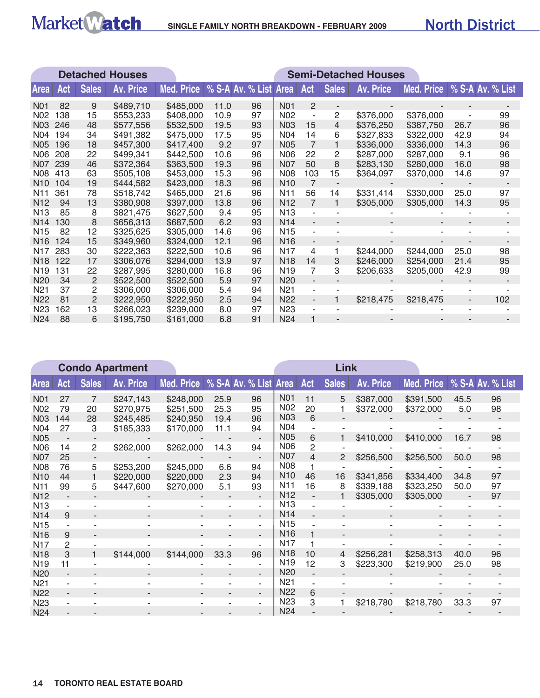

|                  |     |              | <b>Detached Houses</b> | <b>Semi-Detached Houses</b> |                       |    |                  |                          |                          |                  |            |                          |     |
|------------------|-----|--------------|------------------------|-----------------------------|-----------------------|----|------------------|--------------------------|--------------------------|------------------|------------|--------------------------|-----|
| <b>Area</b>      | Act | <b>Sales</b> | <b>Av. Price</b>       | Med. Price                  | % S-A Av. % List Area |    |                  | Act                      | <b>Sales</b>             | <b>Av. Price</b> | Med. Price | % S-A Av. % List         |     |
| N <sub>0</sub> 1 | 82  | 9            | \$489,710              | \$485,000                   | 11.0                  | 96 | <b>N01</b>       | $\overline{2}$           | $\overline{\phantom{a}}$ |                  |            |                          |     |
| N02              | 138 | 15           | \$553,233              | \$408,000                   | 10.9                  | 97 | N <sub>02</sub>  | $\overline{\phantom{a}}$ | 2                        | \$376,000        | \$376,000  |                          | 99  |
| <b>N03</b>       | 246 | 48           | \$577,556              | \$532,500                   | 19.5                  | 93 | <b>N03</b>       | 15                       | $\overline{4}$           | \$376,250        | \$387,750  | 26.7                     | 96  |
| N04              | 194 | 34           | \$491,382              | \$475,000                   | 17.5                  | 95 | <b>N04</b>       | 14                       | 6                        | \$327,833        | \$322,000  | 42.9                     | 94  |
| N05              | 196 | 18           | \$457,300              | \$417,400                   | 9.2                   | 97 | <b>N05</b>       | $\overline{7}$           |                          | \$336,000        | \$336,000  | 14.3                     | 96  |
| N06              | 208 | 22           | \$499,341              | \$442,500                   | 10.6                  | 96 | <b>N06</b>       | 22                       | 2                        | \$287,000        | \$287,000  | 9.1                      | 96  |
| <b>N07</b>       | 239 | 46           | \$372,364              | \$363,500                   | 19.3                  | 96 | <b>N07</b>       | 50                       | 8                        | \$283,130        | \$280,000  | 16.0                     | 98  |
| <b>N08</b>       | 413 | 63           | \$505,108              | \$453,000                   | 15.3                  | 96 | <b>N08</b>       | 103                      | 15                       | \$364,097        | \$370,000  | 14.6                     | 97  |
| N <sub>10</sub>  | 104 | 19           | \$444,582              | \$423,000                   | 18.3                  | 96 | N <sub>10</sub>  | 7                        | ÷,                       |                  |            |                          |     |
| N11              | 361 | 78           | \$518,742              | \$465,000                   | 21.6                  | 96 | N <sub>1</sub> 1 | 56                       | 14                       | \$331,414        | \$330,000  | 25.0                     | 97  |
| N <sub>12</sub>  | 94  | 13           | \$380,908              | \$397,000                   | 13.8                  | 96 | N <sub>12</sub>  | $\overline{7}$           | 1                        | \$305,000        | \$305,000  | 14.3                     | 95  |
| N <sub>13</sub>  | 85  | 8            | \$821,475              | \$627,500                   | 9.4                   | 95 | N <sub>13</sub>  | ä,                       |                          |                  |            |                          |     |
| N <sub>14</sub>  | 130 | 8            | \$656,313              | \$687,500                   | 6.2                   | 93 | N <sub>14</sub>  | $\overline{a}$           |                          |                  |            |                          |     |
| N <sub>15</sub>  | 82  | 12           | \$325,625              | \$305,000                   | 14.6                  | 96 | N <sub>15</sub>  | $\overline{\phantom{0}}$ |                          |                  |            |                          |     |
| N <sub>16</sub>  | 124 | 15           | \$349,960              | \$324,000                   | 12.1                  | 96 | N <sub>16</sub>  | $\overline{\phantom{a}}$ | $\overline{a}$           | ٠                |            |                          |     |
| N17              | 283 | 30           | \$222,363              | \$222,500                   | 10.6                  | 96 | N <sub>17</sub>  | 4                        | 1                        | \$244,000        | \$244,000  | 25.0                     | 98  |
| N <sub>18</sub>  | 122 | 17           | \$306,076              | \$294,000                   | 13.9                  | 97 | <b>N18</b>       | 14                       | 3                        | \$246,000        | \$254,000  | 21.4                     | 95  |
| N <sub>19</sub>  | 131 | 22           | \$287,995              | \$280,000                   | 16.8                  | 96 | N <sub>19</sub>  | $\overline{7}$           | 3                        | \$206,633        | \$205,000  | 42.9                     | 99  |
| N <sub>20</sub>  | 34  | 2            | \$522,500              | \$522,500                   | 5.9                   | 97 | <b>N20</b>       | ÷,                       |                          |                  |            |                          |     |
| N <sub>21</sub>  | 37  | 2            | \$306,000              | \$306,000                   | 5.4                   | 94 | N <sub>21</sub>  | ٠                        |                          |                  |            |                          |     |
| <b>N22</b>       | 81  | 2            | \$222,950              | \$222,950                   | 2.5                   | 94 | N <sub>22</sub>  | $\blacksquare$           |                          | \$218,475        | \$218,475  | $\overline{\phantom{a}}$ | 102 |
| N <sub>23</sub>  | 62  | 13           | \$266,023              | \$239,000                   | 8.0                   | 97 | N <sub>23</sub>  | $\blacksquare$           |                          |                  |            |                          |     |
| N <sub>24</sub>  | 88  | 6            | \$195,750              | \$161,000                   | 6.8                   | 91 | <b>N24</b>       |                          |                          |                  |            |                          |     |

|                 | <b>Condo Apartment</b> |              |                  |            |                          |                          |                 | Link           |                |                  |            |      |                  |
|-----------------|------------------------|--------------|------------------|------------|--------------------------|--------------------------|-----------------|----------------|----------------|------------------|------------|------|------------------|
| <b>Area</b>     | Act                    | <b>Sales</b> | <b>Av. Price</b> | Med. Price |                          | % S-A Av. % List Area    |                 | Act            | <b>Sales</b>   | <b>Av. Price</b> | Med. Price |      | % S-A Av. % List |
| <b>N01</b>      | 27                     | 7            | \$247,143        | \$248,000  | 25.9                     | 96                       | <b>N01</b>      | 11             | 5              | \$387,000        | \$391,500  | 45.5 | 96               |
| N <sub>02</sub> | 79                     | 20           | \$270,975        | \$251,500  | 25.3                     | 95                       | N02             | 20             |                | \$372,000        | \$372,000  | 5.0  | 98               |
| N <sub>03</sub> | 144                    | 28           | \$245,485        | \$240,950  | 19.4                     | 96                       | <b>N03</b>      | 6              |                |                  |            |      |                  |
| N <sub>04</sub> | 27                     | 3            | \$185,333        | \$170,000  | 11.1                     | 94                       | N <sub>04</sub> |                |                |                  |            |      |                  |
| <b>N05</b>      |                        |              |                  |            |                          |                          | <b>N05</b>      | 6              |                | \$410,000        | \$410,000  | 16.7 | 98               |
| <b>N06</b>      | 14                     | $\mathbf{2}$ | \$262,000        | \$262,000  | 14.3                     | 94                       | <b>N06</b>      | 2              |                |                  |            |      |                  |
| <b>N07</b>      | 25                     |              |                  |            | $\overline{\phantom{a}}$ | $\overline{\phantom{0}}$ | <b>N07</b>      | $\overline{4}$ | $\overline{2}$ | \$256,500        | \$256,500  | 50.0 | 98               |
| <b>N08</b>      | 76                     | 5            | \$253,200        | \$245,000  | 6.6                      | 94                       | <b>N08</b>      |                |                |                  |            |      |                  |
| N <sub>10</sub> | 44                     |              | \$220,000        | \$220,000  | 2.3                      | 94                       | <b>N10</b>      | 46             | 16             | \$341,856        | \$334,400  | 34.8 | 97               |
| N <sub>11</sub> | 99                     | 5            | \$447,600        | \$270,000  | 5.1                      | 93                       | N <sub>11</sub> | 16             | 8              | \$339,188        | \$323,250  | 50.0 | 97               |
| N <sub>12</sub> |                        |              |                  |            |                          | ٠.                       | N <sub>12</sub> | ÷,             |                | \$305,000        | \$305,000  |      | 97               |
| N <sub>13</sub> |                        |              |                  |            | ٠                        | ٠.                       | N <sub>13</sub> |                |                |                  |            |      |                  |
| N <sub>14</sub> | 9                      |              |                  |            |                          | $\overline{\phantom{0}}$ | N <sub>14</sub> |                |                |                  |            |      |                  |
| N <sub>15</sub> |                        |              |                  |            |                          | ÷                        | N <sub>15</sub> |                |                |                  |            |      |                  |
| N <sub>16</sub> | 9                      |              |                  |            |                          | ÷.                       | N <sub>16</sub> |                |                |                  |            |      |                  |
| N <sub>17</sub> | $\mathcal{P}$          |              |                  |            |                          |                          | N <sub>17</sub> |                |                |                  |            |      |                  |
| <b>N18</b>      | 3                      |              | \$144,000        | \$144,000  | 33.3                     | 96                       | <b>N18</b>      | 10             | $\overline{4}$ | \$256,281        | \$258,313  | 40.0 | 96               |
| N <sub>19</sub> | 11                     |              |                  |            |                          |                          | N <sub>19</sub> | 12             | 3              | \$223,300        | \$219,900  | 25.0 | 98               |
| N20             |                        |              |                  |            |                          | ٠.                       | N <sub>20</sub> |                |                |                  |            |      |                  |
| N <sub>21</sub> |                        |              |                  |            |                          | ٠                        | N <sub>21</sub> |                |                |                  |            |      |                  |
| N22             | ۰                      |              |                  |            |                          | $\overline{\phantom{a}}$ | N <sub>22</sub> | 6              |                |                  |            |      |                  |
| N <sub>23</sub> |                        |              |                  |            | ۰                        | ٠.                       | N <sub>23</sub> | 3              | 1              | \$218,780        | \$218,780  | 33.3 | 97               |
| N24             |                        |              |                  |            |                          |                          | N <sub>24</sub> |                |                |                  |            |      |                  |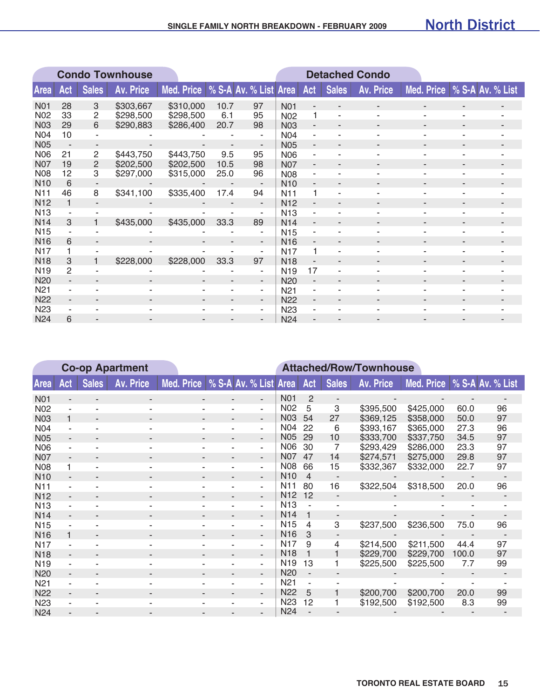|                 | <b>Condo Townhouse</b> |                |                  |                                  |      |                          |                  |     |              | <b>Detached Condo</b>    |                             |   |  |
|-----------------|------------------------|----------------|------------------|----------------------------------|------|--------------------------|------------------|-----|--------------|--------------------------|-----------------------------|---|--|
| <b>Area</b>     | Act                    | <b>Sales</b>   | <b>Av. Price</b> | Med. Price % S-A Av. % List Area |      |                          |                  | Act | <b>Sales</b> | <b>Av. Price</b>         | Med. Price % S-A Av. % List |   |  |
| <b>N01</b>      | 28                     | 3              | \$303,667        | \$310,000                        | 10.7 | 97                       | N <sub>0</sub> 1 |     |              |                          |                             |   |  |
| N <sub>02</sub> | 33                     | 2              | \$298,500        | \$298,500                        | 6.1  | 95                       | N <sub>02</sub>  | 1   |              |                          |                             |   |  |
| <b>N03</b>      | 29                     | 6              | \$290,883        | \$286,400                        | 20.7 | 98                       | <b>N03</b>       |     |              |                          |                             |   |  |
| <b>N04</b>      | 10                     |                |                  |                                  |      |                          | <b>N04</b>       |     |              |                          |                             |   |  |
| N05             |                        | ٠              |                  |                                  |      | $\overline{\phantom{a}}$ | <b>N05</b>       |     |              |                          |                             |   |  |
| <b>N06</b>      | 21                     | 2              | \$443,750        | \$443,750                        | 9.5  | 95                       | <b>N06</b>       |     |              |                          |                             |   |  |
| <b>N07</b>      | 19                     | $\overline{2}$ | \$202,500        | \$202,500                        | 10.5 | 98                       | <b>N07</b>       | ٠   |              | $\overline{\phantom{a}}$ | ٠                           | ٠ |  |
| N08             | 12                     | 3              | \$297,000        | \$315,000                        | 25.0 | 96                       | <b>N08</b>       |     |              |                          |                             |   |  |
| N <sub>10</sub> | 6                      |                |                  |                                  |      |                          | <b>N10</b>       |     |              |                          |                             |   |  |
| N <sub>1</sub>  | 46                     | 8              | \$341,100        | \$335,400                        | 17.4 | 94                       | N <sub>11</sub>  | 1   |              |                          |                             |   |  |
| N <sub>12</sub> | 1                      | $\sim$         |                  |                                  | ٠    | $\overline{\phantom{a}}$ | N <sub>12</sub>  |     |              |                          |                             |   |  |
| <b>N13</b>      |                        |                |                  |                                  | ٠    | ۰                        | <b>N13</b>       |     |              |                          |                             |   |  |
| <b>N14</b>      | 3                      |                | \$435,000        | \$435,000                        | 33.3 | 89                       | <b>N14</b>       |     |              |                          |                             |   |  |
| N <sub>15</sub> |                        |                |                  |                                  |      | ۰                        | <b>N15</b>       |     |              |                          |                             |   |  |
| N <sub>16</sub> | 6                      |                |                  |                                  | ٠    | $\overline{\phantom{a}}$ | <b>N16</b>       |     |              |                          |                             |   |  |
| <b>N17</b>      |                        |                |                  |                                  |      | ۰                        | N <sub>17</sub>  |     |              |                          |                             |   |  |
| <b>N18</b>      | 3                      |                | \$228,000        | \$228,000                        | 33.3 | 97                       | <b>N18</b>       |     |              |                          |                             |   |  |
| N <sub>19</sub> | $\overline{2}$         |                |                  |                                  |      | ۰                        | N <sub>19</sub>  | 17  |              |                          |                             |   |  |
| N20             |                        |                |                  |                                  | -    | $\overline{\phantom{a}}$ | <b>N20</b>       |     |              |                          |                             |   |  |
| N <sub>21</sub> |                        |                |                  |                                  | ۰    | ۰                        | N <sub>21</sub>  |     |              |                          |                             |   |  |
| <b>N22</b>      | $\blacksquare$         |                |                  |                                  | -    | $\overline{\phantom{a}}$ | <b>N22</b>       | ٠   |              |                          |                             |   |  |
| N <sub>23</sub> |                        |                |                  |                                  | ۰    | $\sim$                   | N <sub>23</sub>  |     |              |                          |                             |   |  |
| <b>N24</b>      | 6                      |                |                  |                                  |      |                          | <b>N24</b>       |     |              |                          |                             |   |  |

|                  | <b>Co-op Apartment</b>   |                |                          |                                    |                          |                          |                 | <b>Attached/Row/Townhouse</b> |                          |                  |            |       |                  |
|------------------|--------------------------|----------------|--------------------------|------------------------------------|--------------------------|--------------------------|-----------------|-------------------------------|--------------------------|------------------|------------|-------|------------------|
| <b>Area</b>      | Act                      | <b>Sales</b>   | <b>Av. Price</b>         | Med. Price   % S-A Av. % List Area |                          |                          |                 | Act                           | <b>Sales</b>             | <b>Av. Price</b> | Med. Price |       | % S-A Av. % List |
| <b>N01</b>       |                          |                |                          |                                    |                          | ٠                        | <b>N01</b>      | 2                             | $\overline{\phantom{a}}$ |                  |            |       |                  |
| N <sub>02</sub>  |                          |                |                          |                                    |                          | ٠.                       | N <sub>02</sub> | 5                             | 3                        | \$395,500        | \$425,000  | 60.0  | 96               |
| <b>N03</b>       |                          |                |                          |                                    |                          | ٠                        | N03             | 54                            | 27                       | \$369,125        | \$358,000  | 50.0  | 97               |
| N <sub>04</sub>  |                          |                |                          |                                    |                          | ٠                        | N04             | 22                            | 6                        | \$393,167        | \$365,000  | 27.3  | 96               |
| <b>N05</b>       |                          |                |                          |                                    |                          | ٠                        | <b>N05</b>      | 29                            | 10                       | \$333,700        | \$337,750  | 34.5  | 97               |
| <b>N06</b>       |                          |                |                          |                                    |                          | ٠.                       | N06             | 30                            | 7                        | \$293,429        | \$286,000  | 23.3  | 97               |
| <b>N07</b>       | $\overline{\phantom{a}}$ |                | $\overline{\phantom{a}}$ | ٠                                  | $\blacksquare$           | $\overline{\phantom{a}}$ | <b>N07</b>      | 47                            | 14                       | \$274,571        | \$275,000  | 29.8  | 97               |
| <b>N08</b>       | 1                        |                |                          |                                    |                          | ٠                        | <b>N08</b>      | 66                            | 15                       | \$332,367        | \$332,000  | 22.7  | 97               |
| <b>N10</b>       |                          |                |                          |                                    |                          | $\overline{\phantom{a}}$ | <b>N10</b>      | $\overline{4}$                |                          |                  |            |       |                  |
| N <sub>1</sub> 1 |                          |                |                          |                                    |                          | ٠                        | N <sub>1</sub>  | 80                            | 16                       | \$322,504        | \$318,500  | 20.0  | 96               |
| N <sub>12</sub>  |                          |                |                          |                                    |                          | $\overline{\phantom{a}}$ | N <sub>12</sub> | 12                            | $\blacksquare$           |                  |            |       | ٠                |
| <b>N13</b>       |                          |                | ۰                        | ۰                                  | ٠                        | ٠                        | N <sub>13</sub> |                               |                          |                  |            |       |                  |
| <b>N14</b>       |                          |                |                          |                                    |                          | $\overline{\phantom{a}}$ | N <sub>14</sub> | 1                             |                          |                  |            |       |                  |
| <b>N15</b>       |                          |                |                          |                                    |                          | ٠                        | N <sub>15</sub> | 4                             | 3                        | \$237,500        | \$236,500  | 75.0  | 96               |
| <b>N16</b>       | 1                        |                |                          |                                    |                          | $\blacksquare$           | N <sub>16</sub> | 3                             | $\blacksquare$           |                  |            |       |                  |
| N <sub>17</sub>  |                          |                |                          |                                    |                          | ٠                        | N <sub>17</sub> | 9                             | 4                        | \$214,500        | \$211,500  | 44.4  | 97               |
| <b>N18</b>       | ۰.                       | $\blacksquare$ | $\overline{\phantom{a}}$ | ٠                                  | $\overline{\phantom{a}}$ | ٠                        | <b>N18</b>      | 1                             | 1                        | \$229,700        | \$229,700  | 100.0 | 97               |
| N <sub>19</sub>  |                          |                |                          |                                    |                          | ٠                        | N <sub>19</sub> | 13                            | 1                        | \$225,500        | \$225,500  | 7.7   | 99               |
| N <sub>20</sub>  |                          |                |                          |                                    |                          | ٠                        | N <sub>20</sub> |                               |                          |                  |            |       |                  |
| N <sub>21</sub>  |                          |                |                          |                                    |                          | ٠                        | N <sub>21</sub> |                               |                          |                  |            |       |                  |
| <b>N22</b>       |                          |                |                          |                                    |                          | $\overline{\phantom{a}}$ | N <sub>22</sub> | 5                             |                          | \$200,700        | \$200,700  | 20.0  | 99               |
| N <sub>23</sub>  |                          |                |                          |                                    |                          | ÷                        | <b>N23</b>      | 12                            |                          | \$192,500        | \$192,500  | 8.3   | 99               |
| N <sub>24</sub>  |                          |                |                          |                                    |                          |                          | <b>N24</b>      |                               |                          |                  |            |       |                  |